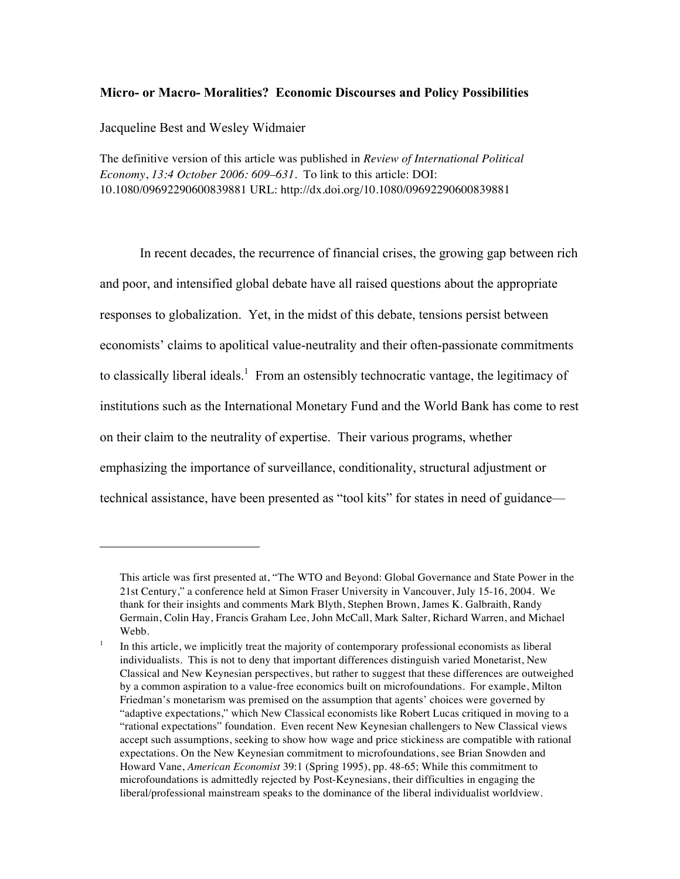## **Micro- or Macro- Moralities? Economic Discourses and Policy Possibilities**

Jacqueline Best and Wesley Widmaier

 $\overline{a}$ 

The definitive version of this article was published in *Review of International Political Economy*, *13:4 October 2006: 609–631*. To link to this article: DOI: 10.1080/09692290600839881 URL: http://dx.doi.org/10.1080/09692290600839881

In recent decades, the recurrence of financial crises, the growing gap between rich and poor, and intensified global debate have all raised questions about the appropriate responses to globalization. Yet, in the midst of this debate, tensions persist between economists' claims to apolitical value-neutrality and their often-passionate commitments to classically liberal ideals.<sup>1</sup> From an ostensibly technocratic vantage, the legitimacy of institutions such as the International Monetary Fund and the World Bank has come to rest on their claim to the neutrality of expertise. Their various programs, whether emphasizing the importance of surveillance, conditionality, structural adjustment or technical assistance, have been presented as "tool kits" for states in need of guidance—

This article was first presented at, "The WTO and Beyond: Global Governance and State Power in the 21st Century," a conference held at Simon Fraser University in Vancouver, July 15-16, 2004. We thank for their insights and comments Mark Blyth, Stephen Brown, James K. Galbraith, Randy Germain, Colin Hay, Francis Graham Lee, John McCall, Mark Salter, Richard Warren, and Michael Webb.

 $1$  In this article, we implicitly treat the majority of contemporary professional economists as liberal individualists. This is not to deny that important differences distinguish varied Monetarist, New Classical and New Keynesian perspectives, but rather to suggest that these differences are outweighed by a common aspiration to a value-free economics built on microfoundations. For example, Milton Friedman's monetarism was premised on the assumption that agents' choices were governed by "adaptive expectations," which New Classical economists like Robert Lucas critiqued in moving to a "rational expectations" foundation. Even recent New Keynesian challengers to New Classical views accept such assumptions, seeking to show how wage and price stickiness are compatible with rational expectations. On the New Keynesian commitment to microfoundations, see Brian Snowden and Howard Vane, *American Economist* 39:1 (Spring 1995), pp. 48-65; While this commitment to microfoundations is admittedly rejected by Post-Keynesians, their difficulties in engaging the liberal/professional mainstream speaks to the dominance of the liberal individualist worldview.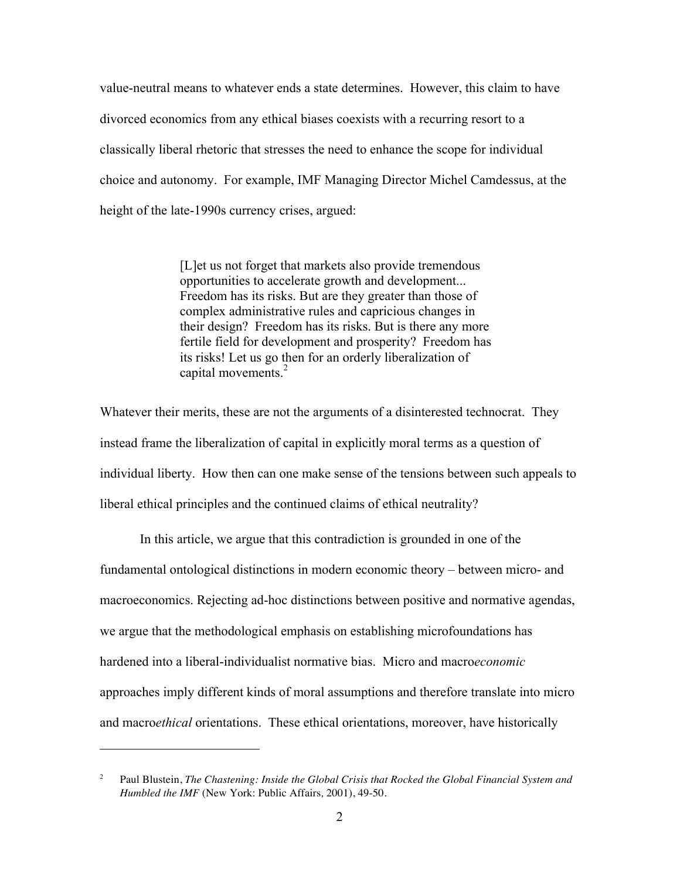value-neutral means to whatever ends a state determines. However, this claim to have divorced economics from any ethical biases coexists with a recurring resort to a classically liberal rhetoric that stresses the need to enhance the scope for individual choice and autonomy. For example, IMF Managing Director Michel Camdessus, at the height of the late-1990s currency crises, argued:

> [L]et us not forget that markets also provide tremendous opportunities to accelerate growth and development... Freedom has its risks. But are they greater than those of complex administrative rules and capricious changes in their design? Freedom has its risks. But is there any more fertile field for development and prosperity? Freedom has its risks! Let us go then for an orderly liberalization of capital movements.<sup>2</sup>

Whatever their merits, these are not the arguments of a disinterested technocrat. They instead frame the liberalization of capital in explicitly moral terms as a question of individual liberty. How then can one make sense of the tensions between such appeals to liberal ethical principles and the continued claims of ethical neutrality?

In this article, we argue that this contradiction is grounded in one of the fundamental ontological distinctions in modern economic theory – between micro- and macroeconomics. Rejecting ad-hoc distinctions between positive and normative agendas, we argue that the methodological emphasis on establishing microfoundations has hardened into a liberal-individualist normative bias. Micro and macro*economic* approaches imply different kinds of moral assumptions and therefore translate into micro and macro*ethical* orientations. These ethical orientations, moreover, have historically

<sup>2</sup> Paul Blustein, *The Chastening: Inside the Global Crisis that Rocked the Global Financial System and Humbled the IMF* (New York: Public Affairs*,* 2001), 49-50.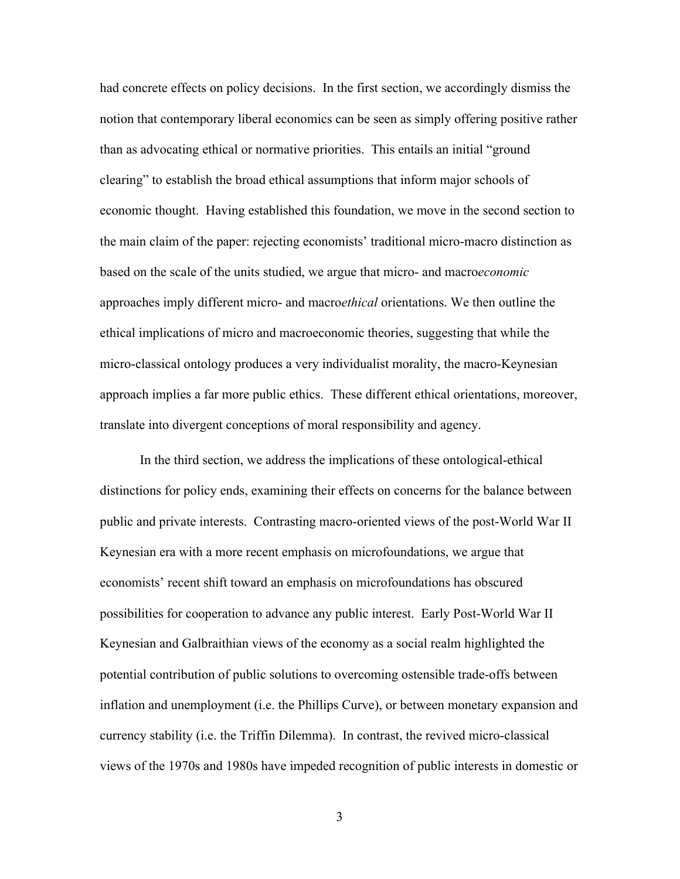had concrete effects on policy decisions. In the first section, we accordingly dismiss the notion that contemporary liberal economics can be seen as simply offering positive rather than as advocating ethical or normative priorities. This entails an initial "ground clearing" to establish the broad ethical assumptions that inform major schools of economic thought. Having established this foundation, we move in the second section to the main claim of the paper: rejecting economists' traditional micro-macro distinction as based on the scale of the units studied, we argue that micro- and macro*economic* approaches imply different micro- and macro*ethical* orientations. We then outline the ethical implications of micro and macroeconomic theories, suggesting that while the micro-classical ontology produces a very individualist morality, the macro-Keynesian approach implies a far more public ethics. These different ethical orientations, moreover, translate into divergent conceptions of moral responsibility and agency.

In the third section, we address the implications of these ontological-ethical distinctions for policy ends, examining their effects on concerns for the balance between public and private interests. Contrasting macro-oriented views of the post-World War II Keynesian era with a more recent emphasis on microfoundations, we argue that economists' recent shift toward an emphasis on microfoundations has obscured possibilities for cooperation to advance any public interest. Early Post-World War II Keynesian and Galbraithian views of the economy as a social realm highlighted the potential contribution of public solutions to overcoming ostensible trade-offs between inflation and unemployment (i.e. the Phillips Curve), or between monetary expansion and currency stability (i.e. the Triffin Dilemma). In contrast, the revived micro-classical views of the 1970s and 1980s have impeded recognition of public interests in domestic or

3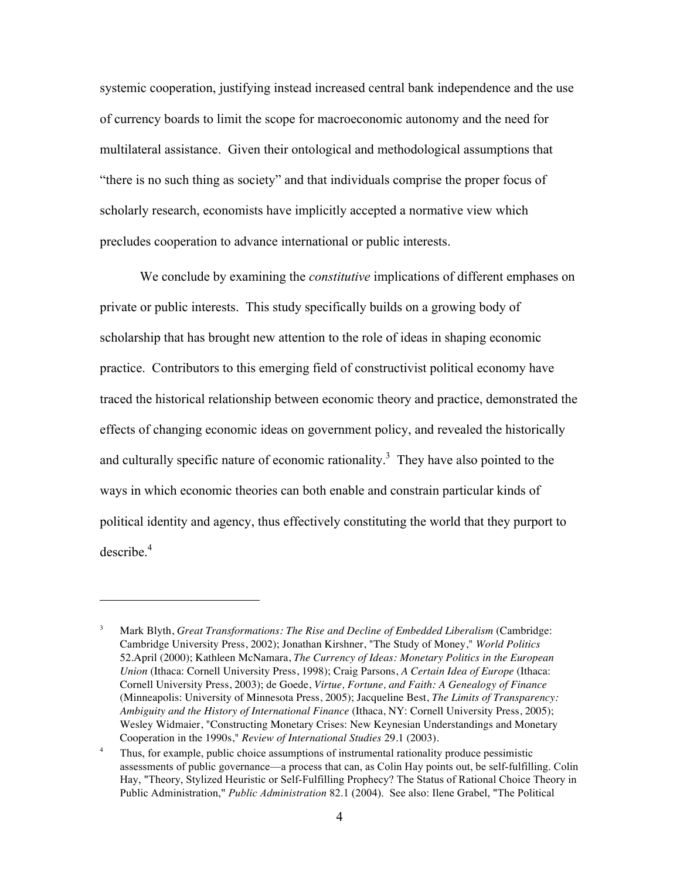systemic cooperation, justifying instead increased central bank independence and the use of currency boards to limit the scope for macroeconomic autonomy and the need for multilateral assistance. Given their ontological and methodological assumptions that "there is no such thing as society" and that individuals comprise the proper focus of scholarly research, economists have implicitly accepted a normative view which precludes cooperation to advance international or public interests.

We conclude by examining the *constitutive* implications of different emphases on private or public interests. This study specifically builds on a growing body of scholarship that has brought new attention to the role of ideas in shaping economic practice. Contributors to this emerging field of constructivist political economy have traced the historical relationship between economic theory and practice, demonstrated the effects of changing economic ideas on government policy, and revealed the historically and culturally specific nature of economic rationality.<sup>3</sup> They have also pointed to the ways in which economic theories can both enable and constrain particular kinds of political identity and agency, thus effectively constituting the world that they purport to describe.<sup>4</sup>

<sup>3</sup> Mark Blyth, *Great Transformations: The Rise and Decline of Embedded Liberalism* (Cambridge: Cambridge University Press, 2002); Jonathan Kirshner, "The Study of Money," *World Politics* 52.April (2000); Kathleen McNamara, *The Currency of Ideas: Monetary Politics in the European Union* (Ithaca: Cornell University Press, 1998); Craig Parsons, *A Certain Idea of Europe* (Ithaca: Cornell University Press, 2003); de Goede, *Virtue, Fortune, and Faith: A Genealogy of Finance* (Minneapolis: University of Minnesota Press, 2005); Jacqueline Best, *The Limits of Transparency: Ambiguity and the History of International Finance* (Ithaca, NY: Cornell University Press, 2005); Wesley Widmaier, "Constructing Monetary Crises: New Keynesian Understandings and Monetary Cooperation in the 1990s," *Review of International Studies* 29.1 (2003).

<sup>&</sup>lt;sup>4</sup> Thus, for example, public choice assumptions of instrumental rationality produce pessimistic assessments of public governance—a process that can, as Colin Hay points out, be self-fulfilling. Colin Hay, "Theory, Stylized Heuristic or Self-Fulfilling Prophecy? The Status of Rational Choice Theory in Public Administration," *Public Administration* 82.1 (2004). See also: Ilene Grabel, "The Political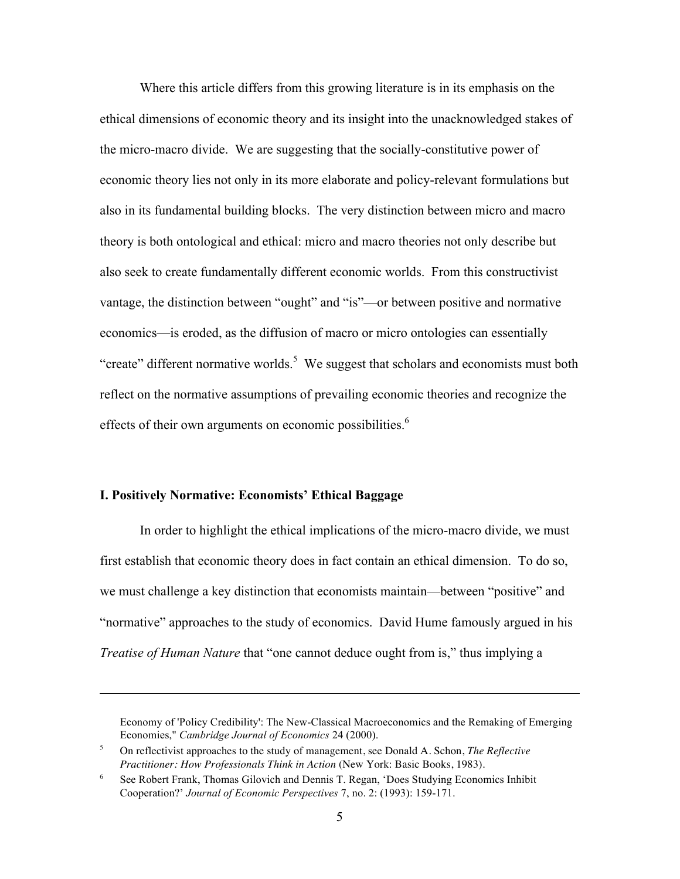Where this article differs from this growing literature is in its emphasis on the ethical dimensions of economic theory and its insight into the unacknowledged stakes of the micro-macro divide. We are suggesting that the socially-constitutive power of economic theory lies not only in its more elaborate and policy-relevant formulations but also in its fundamental building blocks. The very distinction between micro and macro theory is both ontological and ethical: micro and macro theories not only describe but also seek to create fundamentally different economic worlds. From this constructivist vantage, the distinction between "ought" and "is"—or between positive and normative economics—is eroded, as the diffusion of macro or micro ontologies can essentially "create" different normative worlds. $5$  We suggest that scholars and economists must both reflect on the normative assumptions of prevailing economic theories and recognize the effects of their own arguments on economic possibilities. $<sup>6</sup>$ </sup>

### **I. Positively Normative: Economists' Ethical Baggage**

 $\overline{a}$ 

In order to highlight the ethical implications of the micro-macro divide, we must first establish that economic theory does in fact contain an ethical dimension. To do so, we must challenge a key distinction that economists maintain—between "positive" and "normative" approaches to the study of economics. David Hume famously argued in his *Treatise of Human Nature* that "one cannot deduce ought from is," thus implying a

Economy of 'Policy Credibility': The New-Classical Macroeconomics and the Remaking of Emerging Economies," *Cambridge Journal of Economics* 24 (2000).

<sup>5</sup> On reflectivist approaches to the study of management, see Donald A. Schon, *The Reflective Practitioner: How Professionals Think in Action* (New York: Basic Books, 1983).

<sup>6</sup> See Robert Frank, Thomas Gilovich and Dennis T. Regan, 'Does Studying Economics Inhibit Cooperation?' *Journal of Economic Perspectives* 7, no. 2: (1993): 159-171.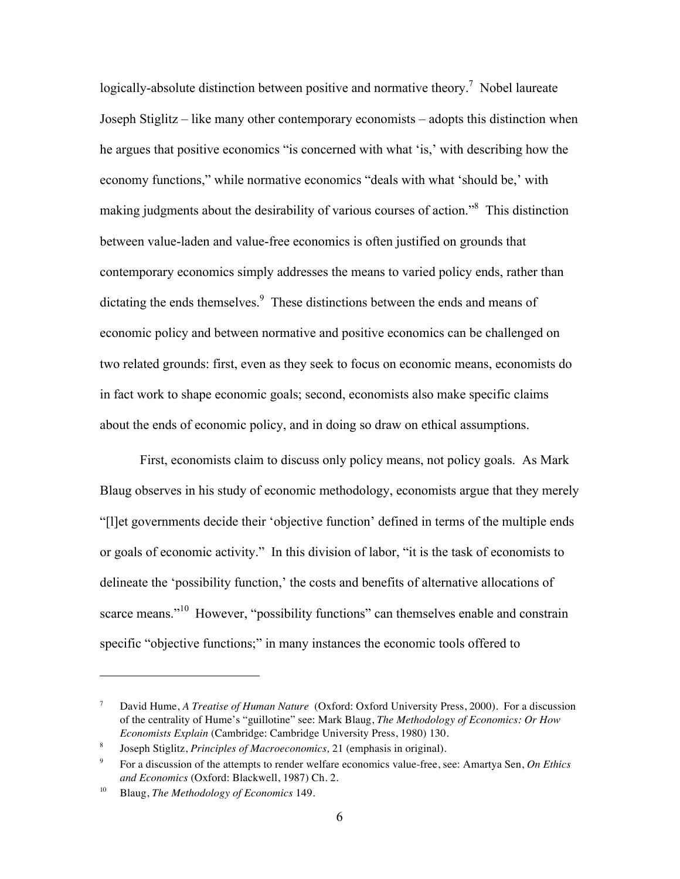logically-absolute distinction between positive and normative theory.<sup>7</sup> Nobel laureate Joseph Stiglitz – like many other contemporary economists – adopts this distinction when he argues that positive economics "is concerned with what 'is,' with describing how the economy functions," while normative economics "deals with what 'should be,' with making judgments about the desirability of various courses of action."<sup>8</sup> This distinction between value-laden and value-free economics is often justified on grounds that contemporary economics simply addresses the means to varied policy ends, rather than dictating the ends themselves.<sup>9</sup> These distinctions between the ends and means of economic policy and between normative and positive economics can be challenged on two related grounds: first, even as they seek to focus on economic means, economists do in fact work to shape economic goals; second, economists also make specific claims about the ends of economic policy, and in doing so draw on ethical assumptions.

First, economists claim to discuss only policy means, not policy goals. As Mark Blaug observes in his study of economic methodology, economists argue that they merely "[l]et governments decide their 'objective function' defined in terms of the multiple ends or goals of economic activity." In this division of labor, "it is the task of economists to delineate the 'possibility function,' the costs and benefits of alternative allocations of scarce means."<sup>10</sup> However, "possibility functions" can themselves enable and constrain specific "objective functions;" in many instances the economic tools offered to

<sup>7</sup> David Hume, *A Treatise of Human Nature* (Oxford: Oxford University Press, 2000). For a discussion of the centrality of Hume's "guillotine" see: Mark Blaug, *The Methodology of Economics: Or How Economists Explain* (Cambridge: Cambridge University Press, 1980) 130.

<sup>&</sup>lt;sup>8</sup> Joseph Stiglitz, *Principles of Macroeconomics*, 21 (emphasis in original).<br><sup>9</sup> For a discussion of the attempts to render welfare economics value-free, see: Amartya Sen, *On Ethics and Economics* (Oxford: Blackwell, 1987) Ch. 2.

<sup>10</sup> Blaug, *The Methodology of Economics* 149.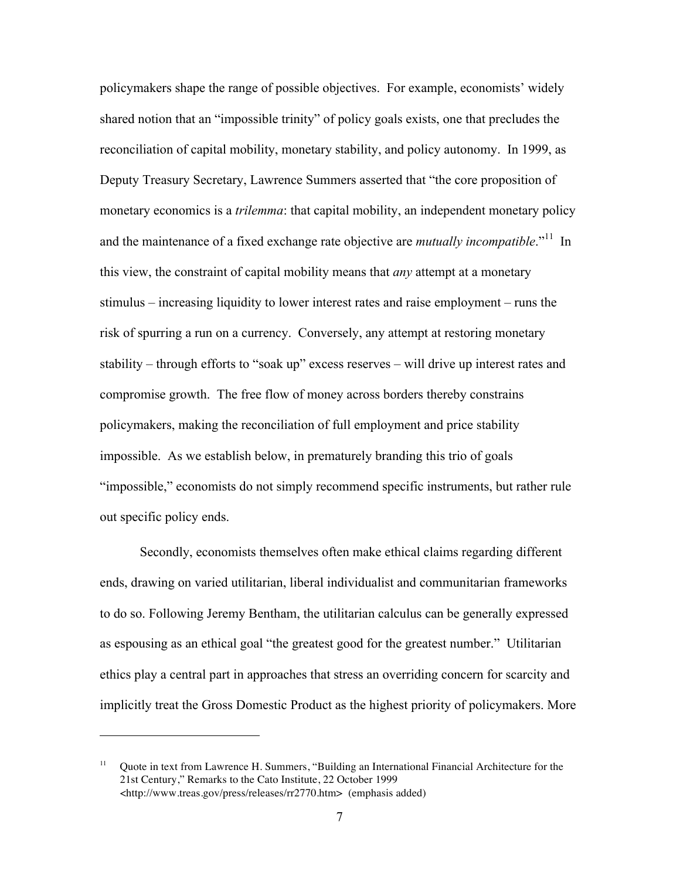policymakers shape the range of possible objectives. For example, economists' widely shared notion that an "impossible trinity" of policy goals exists, one that precludes the reconciliation of capital mobility, monetary stability, and policy autonomy. In 1999, as Deputy Treasury Secretary, Lawrence Summers asserted that "the core proposition of monetary economics is a *trilemma*: that capital mobility, an independent monetary policy and the maintenance of a fixed exchange rate objective are *mutually incompatible*."<sup>11</sup> In this view, the constraint of capital mobility means that *any* attempt at a monetary stimulus – increasing liquidity to lower interest rates and raise employment – runs the risk of spurring a run on a currency. Conversely, any attempt at restoring monetary stability – through efforts to "soak up" excess reserves – will drive up interest rates and compromise growth. The free flow of money across borders thereby constrains policymakers, making the reconciliation of full employment and price stability impossible. As we establish below, in prematurely branding this trio of goals "impossible," economists do not simply recommend specific instruments, but rather rule out specific policy ends.

Secondly, economists themselves often make ethical claims regarding different ends, drawing on varied utilitarian, liberal individualist and communitarian frameworks to do so. Following Jeremy Bentham, the utilitarian calculus can be generally expressed as espousing as an ethical goal "the greatest good for the greatest number." Utilitarian ethics play a central part in approaches that stress an overriding concern for scarcity and implicitly treat the Gross Domestic Product as the highest priority of policymakers. More

<sup>&</sup>lt;sup>11</sup> Quote in text from Lawrence H. Summers, "Building an International Financial Architecture for the 21st Century," Remarks to the Cato Institute, 22 October 1999 <http://www.treas.gov/press/releases/rr2770.htm> (emphasis added)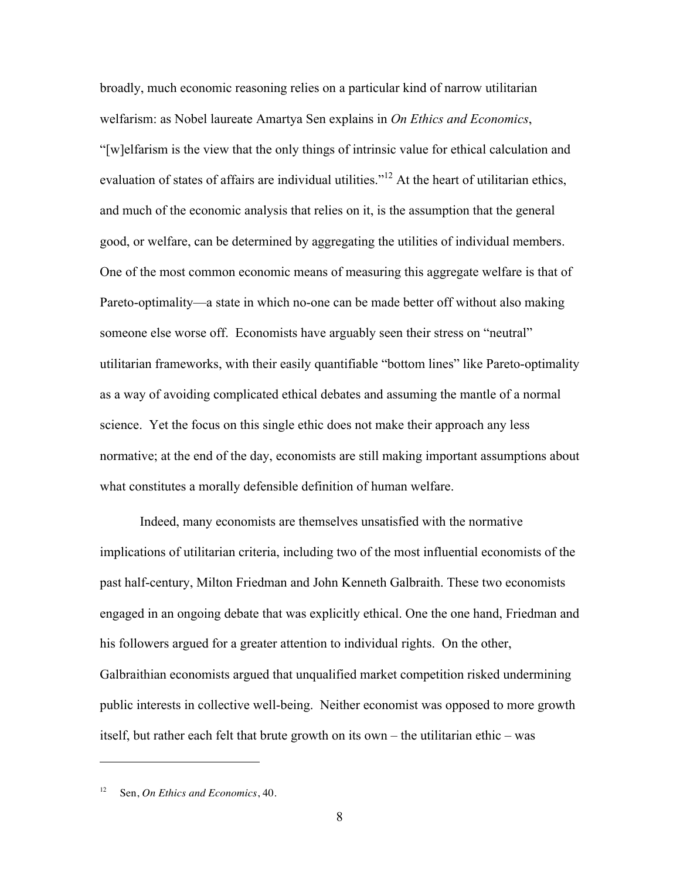broadly, much economic reasoning relies on a particular kind of narrow utilitarian welfarism: as Nobel laureate Amartya Sen explains in *On Ethics and Economics*, "[w]elfarism is the view that the only things of intrinsic value for ethical calculation and evaluation of states of affairs are individual utilities."<sup>12</sup> At the heart of utilitarian ethics, and much of the economic analysis that relies on it, is the assumption that the general good, or welfare, can be determined by aggregating the utilities of individual members. One of the most common economic means of measuring this aggregate welfare is that of Pareto-optimality—a state in which no-one can be made better off without also making someone else worse off. Economists have arguably seen their stress on "neutral" utilitarian frameworks, with their easily quantifiable "bottom lines" like Pareto-optimality as a way of avoiding complicated ethical debates and assuming the mantle of a normal science. Yet the focus on this single ethic does not make their approach any less normative; at the end of the day, economists are still making important assumptions about what constitutes a morally defensible definition of human welfare.

Indeed, many economists are themselves unsatisfied with the normative implications of utilitarian criteria, including two of the most influential economists of the past half-century, Milton Friedman and John Kenneth Galbraith. These two economists engaged in an ongoing debate that was explicitly ethical. One the one hand, Friedman and his followers argued for a greater attention to individual rights. On the other, Galbraithian economists argued that unqualified market competition risked undermining public interests in collective well-being. Neither economist was opposed to more growth itself, but rather each felt that brute growth on its own – the utilitarian ethic – was

<sup>12</sup> Sen, *On Ethics and Economics*, 40.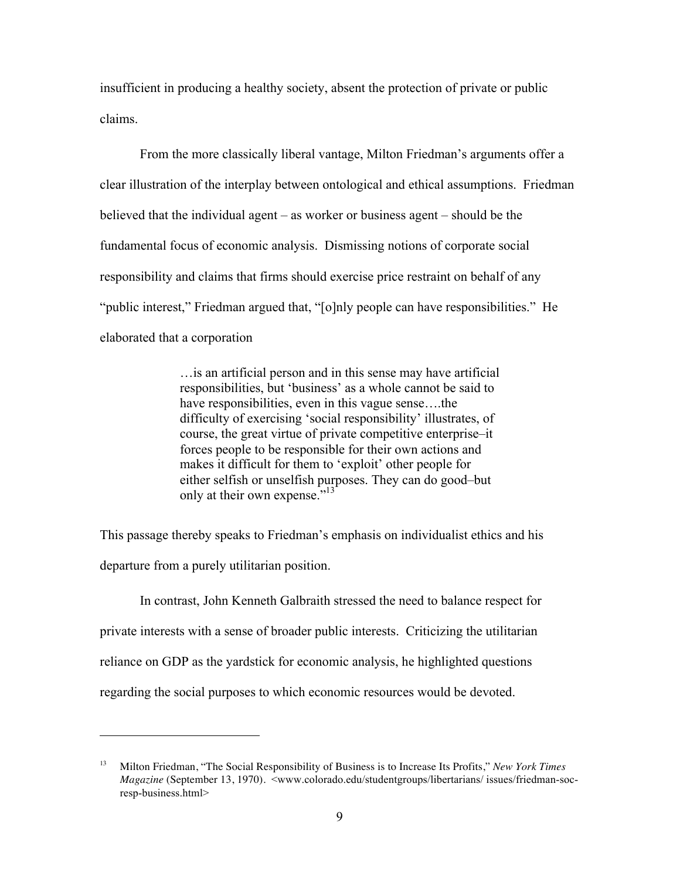insufficient in producing a healthy society, absent the protection of private or public claims.

From the more classically liberal vantage, Milton Friedman's arguments offer a clear illustration of the interplay between ontological and ethical assumptions. Friedman believed that the individual agent – as worker or business agent – should be the fundamental focus of economic analysis. Dismissing notions of corporate social responsibility and claims that firms should exercise price restraint on behalf of any "public interest," Friedman argued that, "[o]nly people can have responsibilities." He elaborated that a corporation

> …is an artificial person and in this sense may have artificial responsibilities, but 'business' as a whole cannot be said to have responsibilities, even in this vague sense....the difficulty of exercising 'social responsibility' illustrates, of course, the great virtue of private competitive enterprise–it forces people to be responsible for their own actions and makes it difficult for them to 'exploit' other people for either selfish or unselfish purposes. They can do good–but only at their own expense."<sup>13</sup>

This passage thereby speaks to Friedman's emphasis on individualist ethics and his departure from a purely utilitarian position.

In contrast, John Kenneth Galbraith stressed the need to balance respect for private interests with a sense of broader public interests. Criticizing the utilitarian reliance on GDP as the yardstick for economic analysis, he highlighted questions regarding the social purposes to which economic resources would be devoted.

<sup>13</sup> Milton Friedman, "The Social Responsibility of Business is to Increase Its Profits," *New York Times Magazine* (September 13, 1970). <www.colorado.edu/studentgroups/libertarians/ issues/friedman-socresp-business.html>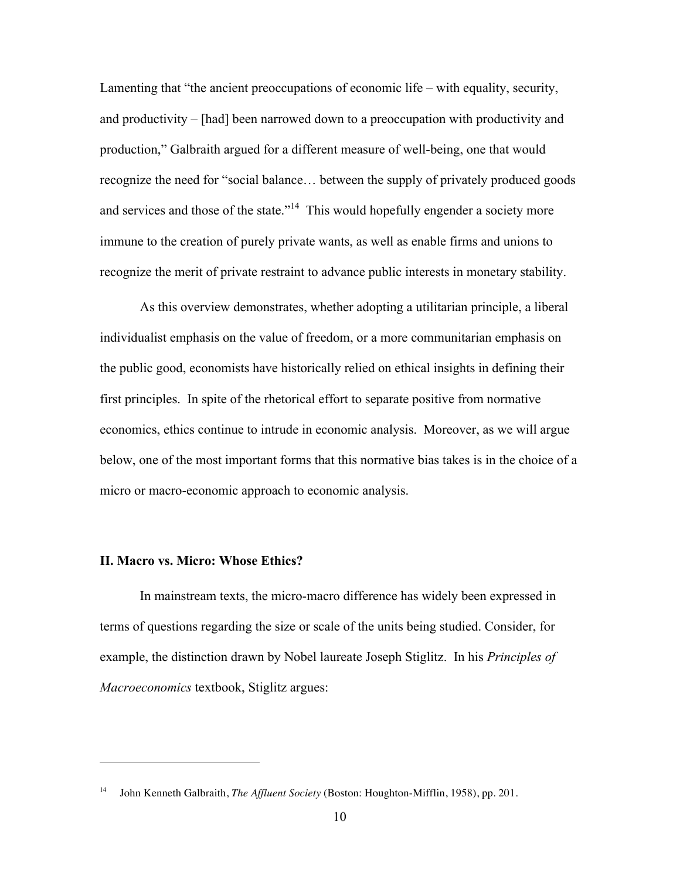Lamenting that "the ancient preoccupations of economic life – with equality, security, and productivity – [had] been narrowed down to a preoccupation with productivity and production," Galbraith argued for a different measure of well-being, one that would recognize the need for "social balance… between the supply of privately produced goods and services and those of the state."<sup>14</sup> This would hopefully engender a society more immune to the creation of purely private wants, as well as enable firms and unions to recognize the merit of private restraint to advance public interests in monetary stability.

As this overview demonstrates, whether adopting a utilitarian principle, a liberal individualist emphasis on the value of freedom, or a more communitarian emphasis on the public good, economists have historically relied on ethical insights in defining their first principles. In spite of the rhetorical effort to separate positive from normative economics, ethics continue to intrude in economic analysis. Moreover, as we will argue below, one of the most important forms that this normative bias takes is in the choice of a micro or macro-economic approach to economic analysis.

### **II. Macro vs. Micro: Whose Ethics?**

 $\overline{a}$ 

In mainstream texts, the micro-macro difference has widely been expressed in terms of questions regarding the size or scale of the units being studied. Consider, for example, the distinction drawn by Nobel laureate Joseph Stiglitz. In his *Principles of Macroeconomics* textbook, Stiglitz argues:

<sup>14</sup> John Kenneth Galbraith, *The Affluent Society* (Boston: Houghton-Mifflin, 1958), pp. 201.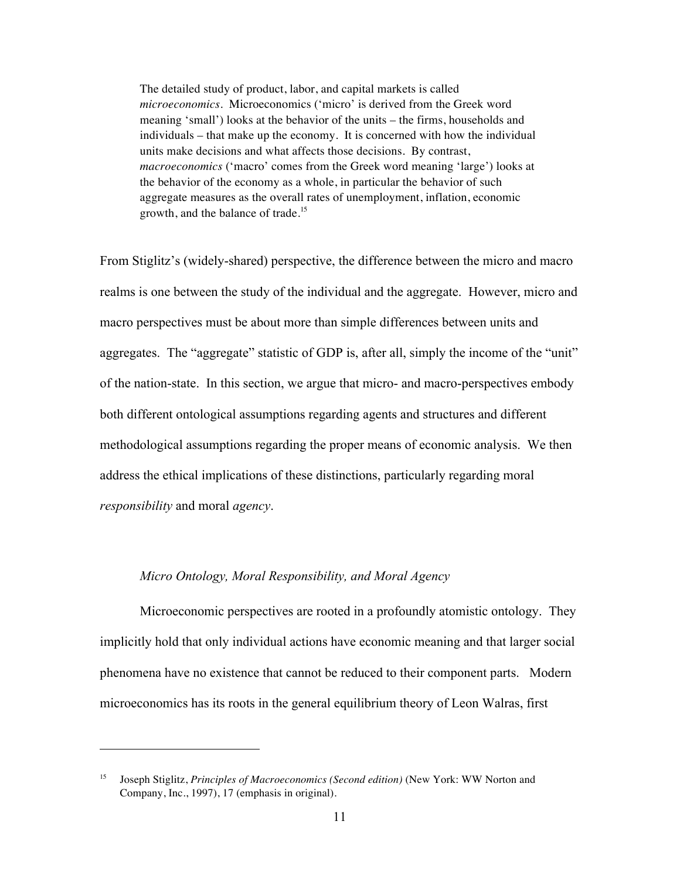The detailed study of product, labor, and capital markets is called *microeconomics*. Microeconomics ('micro' is derived from the Greek word meaning 'small') looks at the behavior of the units – the firms, households and individuals – that make up the economy. It is concerned with how the individual units make decisions and what affects those decisions. By contrast, *macroeconomics* ('macro' comes from the Greek word meaning 'large') looks at the behavior of the economy as a whole, in particular the behavior of such aggregate measures as the overall rates of unemployment, inflation, economic growth, and the balance of trade.<sup>15</sup>

From Stiglitz's (widely-shared) perspective, the difference between the micro and macro realms is one between the study of the individual and the aggregate. However, micro and macro perspectives must be about more than simple differences between units and aggregates. The "aggregate" statistic of GDP is, after all, simply the income of the "unit" of the nation-state. In this section, we argue that micro- and macro-perspectives embody both different ontological assumptions regarding agents and structures and different methodological assumptions regarding the proper means of economic analysis. We then address the ethical implications of these distinctions, particularly regarding moral *responsibility* and moral *agency*.

# *Micro Ontology, Moral Responsibility, and Moral Agency*

Microeconomic perspectives are rooted in a profoundly atomistic ontology. They implicitly hold that only individual actions have economic meaning and that larger social phenomena have no existence that cannot be reduced to their component parts. Modern microeconomics has its roots in the general equilibrium theory of Leon Walras, first

<sup>15</sup> Joseph Stiglitz, *Principles of Macroeconomics (Second edition)* (New York: WW Norton and Company, Inc., 1997), 17 (emphasis in original).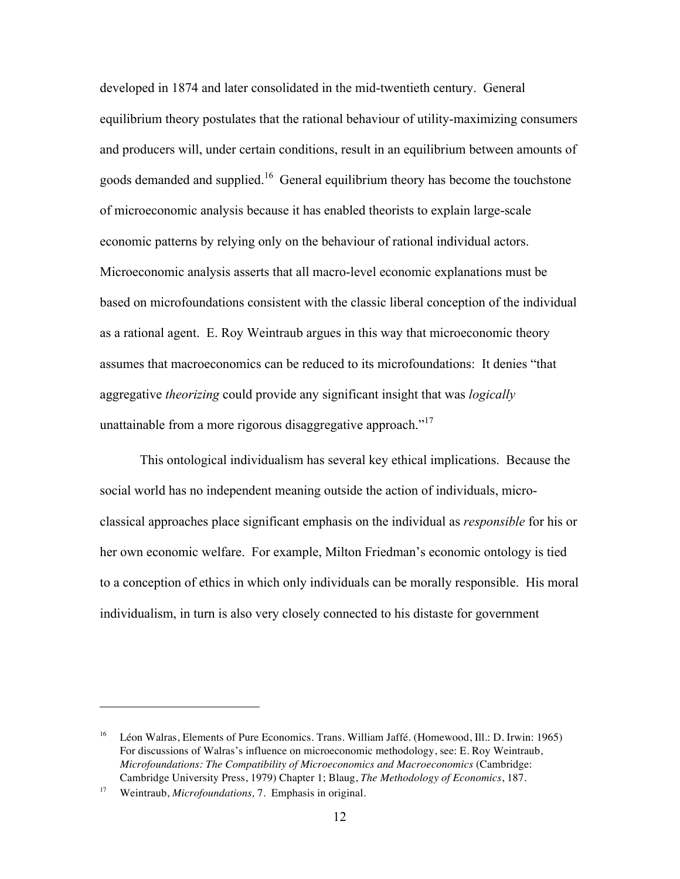developed in 1874 and later consolidated in the mid-twentieth century. General equilibrium theory postulates that the rational behaviour of utility-maximizing consumers and producers will, under certain conditions, result in an equilibrium between amounts of goods demanded and supplied.<sup>16</sup> General equilibrium theory has become the touchstone of microeconomic analysis because it has enabled theorists to explain large-scale economic patterns by relying only on the behaviour of rational individual actors. Microeconomic analysis asserts that all macro-level economic explanations must be based on microfoundations consistent with the classic liberal conception of the individual as a rational agent. E. Roy Weintraub argues in this way that microeconomic theory assumes that macroeconomics can be reduced to its microfoundations: It denies "that aggregative *theorizing* could provide any significant insight that was *logically* unattainable from a more rigorous disaggregative approach. $17$ 

This ontological individualism has several key ethical implications. Because the social world has no independent meaning outside the action of individuals, microclassical approaches place significant emphasis on the individual as *responsible* for his or her own economic welfare. For example, Milton Friedman's economic ontology is tied to a conception of ethics in which only individuals can be morally responsible. His moral individualism, in turn is also very closely connected to his distaste for government

<sup>16</sup> Léon Walras, Elements of Pure Economics. Trans. William Jaffé. (Homewood, Ill.: D. Irwin: 1965) For discussions of Walras's influence on microeconomic methodology, see: E. Roy Weintraub, *Microfoundations: The Compatibility of Microeconomics and Macroeconomics* (Cambridge: Cambridge University Press, 1979) Chapter 1; Blaug, *The Methodology of Economics*, 187.

<sup>17</sup> Weintraub, *Microfoundations,* 7. Emphasis in original.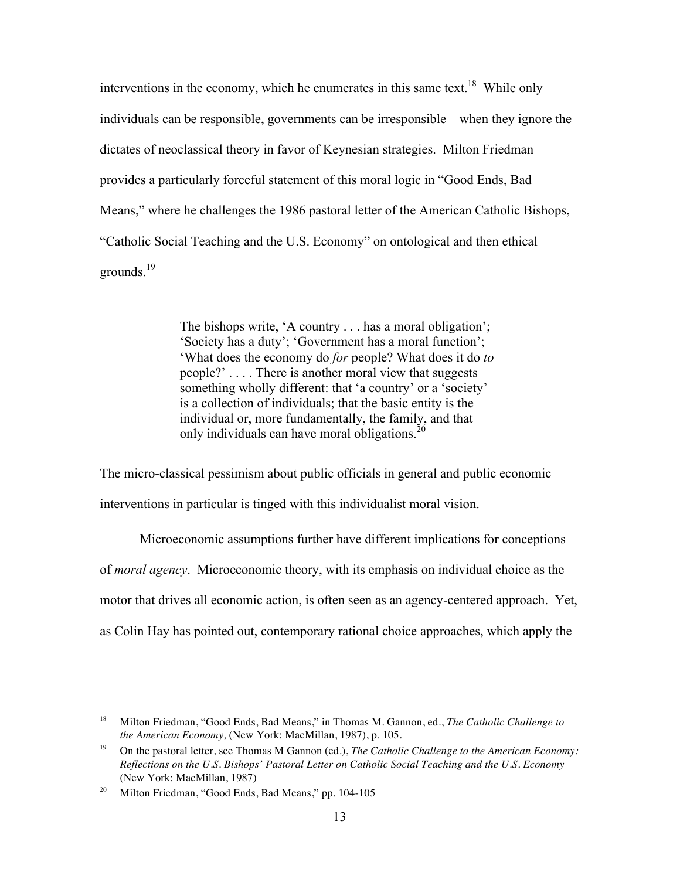interventions in the economy, which he enumerates in this same text.<sup>18</sup> While only individuals can be responsible, governments can be irresponsible—when they ignore the dictates of neoclassical theory in favor of Keynesian strategies. Milton Friedman provides a particularly forceful statement of this moral logic in "Good Ends, Bad Means," where he challenges the 1986 pastoral letter of the American Catholic Bishops, "Catholic Social Teaching and the U.S. Economy" on ontological and then ethical grounds. $^{19}$ 

> The bishops write, 'A country . . . has a moral obligation'; 'Society has a duty'; 'Government has a moral function'; 'What does the economy do *for* people? What does it do *to*  people?' . . . . There is another moral view that suggests something wholly different: that 'a country' or a 'society' is a collection of individuals; that the basic entity is the individual or, more fundamentally, the family, and that only individuals can have moral obligations. $^{20}$

The micro-classical pessimism about public officials in general and public economic interventions in particular is tinged with this individualist moral vision.

Microeconomic assumptions further have different implications for conceptions of *moral agency*. Microeconomic theory, with its emphasis on individual choice as the motor that drives all economic action, is often seen as an agency-centered approach. Yet, as Colin Hay has pointed out, contemporary rational choice approaches, which apply the

<sup>18</sup> Milton Friedman, "Good Ends, Bad Means," in Thomas M. Gannon, ed., *The Catholic Challenge to the American Economy,* (New York: MacMillan, 1987), p. 105.

<sup>19</sup> On the pastoral letter, see Thomas M Gannon (ed.), *The Catholic Challenge to the American Economy: Reflections on the U.S. Bishops' Pastoral Letter on Catholic Social Teaching and the U.S. Economy*  (New York: MacMillan, 1987)

<sup>&</sup>lt;sup>20</sup> Milton Friedman, "Good Ends, Bad Means," pp. 104-105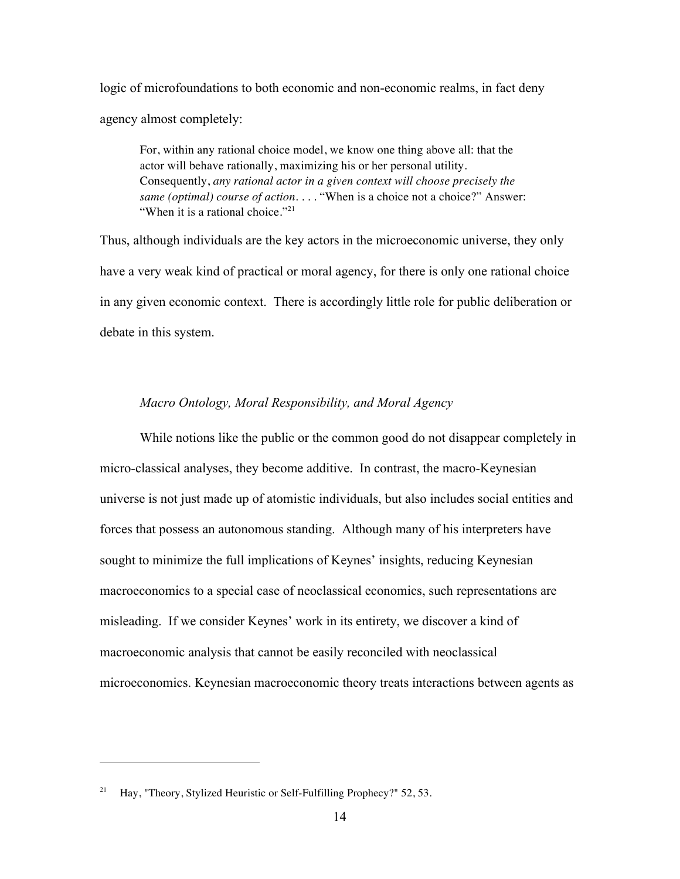logic of microfoundations to both economic and non-economic realms, in fact deny agency almost completely:

For, within any rational choice model, we know one thing above all: that the actor will behave rationally, maximizing his or her personal utility. Consequently, *any rational actor in a given context will choose precisely the same (optimal) course of action*. . . . "When is a choice not a choice?" Answer: "When it is a rational choice."<sup>21</sup>

Thus, although individuals are the key actors in the microeconomic universe, they only have a very weak kind of practical or moral agency, for there is only one rational choice in any given economic context. There is accordingly little role for public deliberation or debate in this system.

# *Macro Ontology, Moral Responsibility, and Moral Agency*

While notions like the public or the common good do not disappear completely in micro-classical analyses, they become additive. In contrast, the macro-Keynesian universe is not just made up of atomistic individuals, but also includes social entities and forces that possess an autonomous standing. Although many of his interpreters have sought to minimize the full implications of Keynes' insights, reducing Keynesian macroeconomics to a special case of neoclassical economics, such representations are misleading. If we consider Keynes' work in its entirety, we discover a kind of macroeconomic analysis that cannot be easily reconciled with neoclassical microeconomics. Keynesian macroeconomic theory treats interactions between agents as

<sup>&</sup>lt;sup>21</sup> Hay, "Theory, Stylized Heuristic or Self-Fulfilling Prophecy?" 52, 53.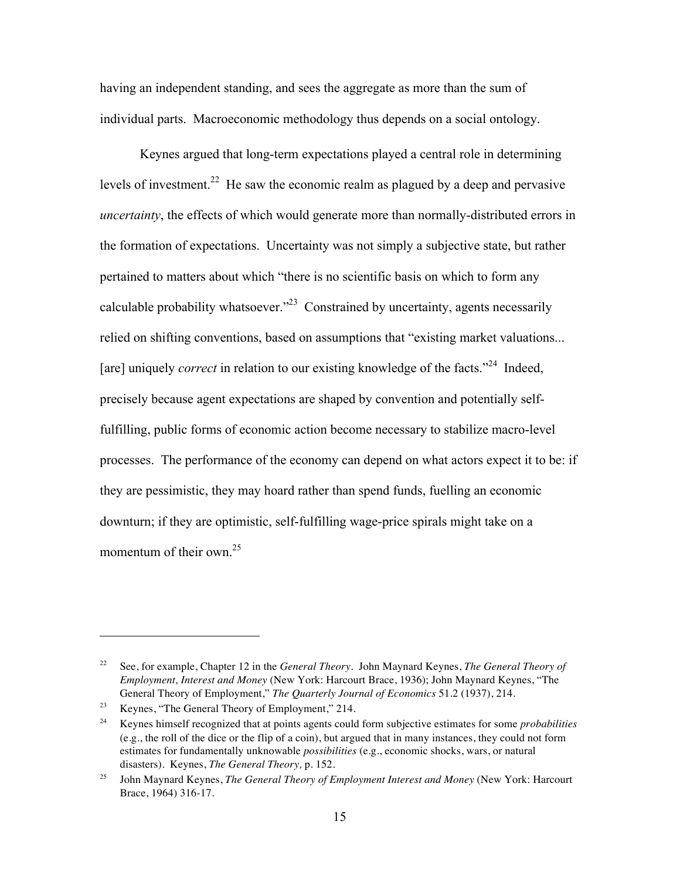having an independent standing, and sees the aggregate as more than the sum of individual parts. Macroeconomic methodology thus depends on a social ontology.

Keynes argued that long-term expectations played a central role in determining levels of investment.<sup>22</sup> He saw the economic realm as plagued by a deep and pervasive *uncertainty*, the effects of which would generate more than normally-distributed errors in the formation of expectations. Uncertainty was not simply a subjective state, but rather pertained to matters about which "there is no scientific basis on which to form any calculable probability whatsoever. $^{23}$  Constrained by uncertainty, agents necessarily relied on shifting conventions, based on assumptions that "existing market valuations... [are] uniquely *correct* in relation to our existing knowledge of the facts."<sup>24</sup> Indeed, precisely because agent expectations are shaped by convention and potentially selffulfilling, public forms of economic action become necessary to stabilize macro-level processes. The performance of the economy can depend on what actors expect it to be: if they are pessimistic, they may hoard rather than spend funds, fuelling an economic downturn; if they are optimistic, self-fulfilling wage-price spirals might take on a momentum of their own.<sup>25</sup>

<sup>22</sup> See, for example, Chapter 12 in the *General Theory*.John Maynard Keynes, *The General Theory of Employment, Interest and Money* (New York: Harcourt Brace, 1936); John Maynard Keynes, "The General Theory of Employment," *The Quarterly Journal of Economics* 51.2 (1937), 214.

<sup>&</sup>lt;sup>23</sup> Keynes, "The General Theory of Employment," 214.

<sup>24</sup> Keynes himself recognized that at points agents could form subjective estimates for some *probabilities* (e.g., the roll of the dice or the flip of a coin), but argued that in many instances, they could not form estimates for fundamentally unknowable *possibilities* (e.g., economic shocks, wars, or natural disasters). Keynes, *The General Theory,* p. 152.

<sup>25</sup> John Maynard Keynes, *The General Theory of Employment Interest and Money* (New York: Harcourt Brace, 1964) 316-17.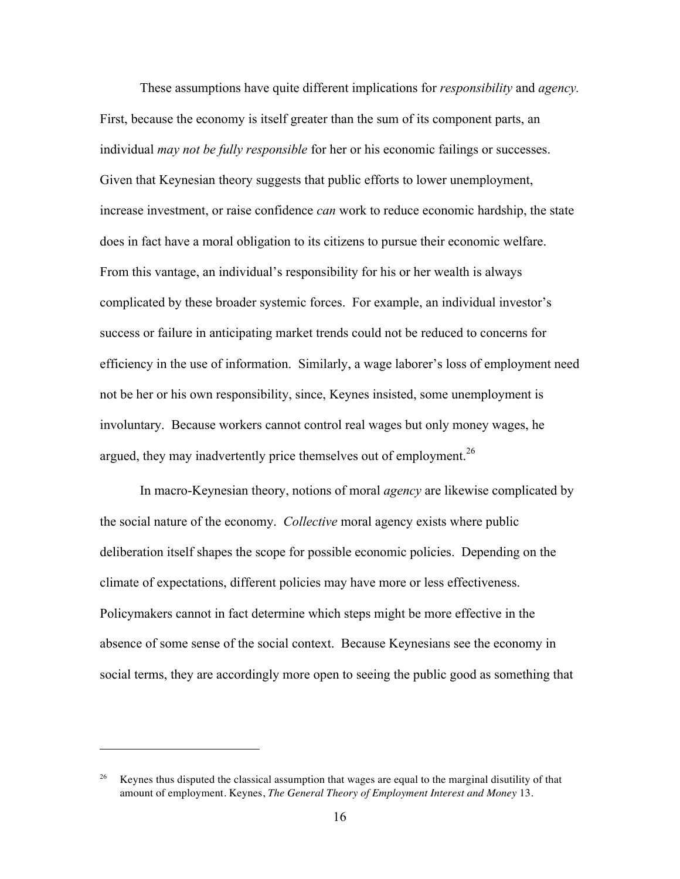These assumptions have quite different implications for *responsibility* and *agency.*  First, because the economy is itself greater than the sum of its component parts, an individual *may not be fully responsible* for her or his economic failings or successes. Given that Keynesian theory suggests that public efforts to lower unemployment, increase investment, or raise confidence *can* work to reduce economic hardship, the state does in fact have a moral obligation to its citizens to pursue their economic welfare. From this vantage, an individual's responsibility for his or her wealth is always complicated by these broader systemic forces. For example, an individual investor's success or failure in anticipating market trends could not be reduced to concerns for efficiency in the use of information. Similarly, a wage laborer's loss of employment need not be her or his own responsibility, since, Keynes insisted, some unemployment is involuntary. Because workers cannot control real wages but only money wages, he argued, they may inadvertently price themselves out of employment.<sup>26</sup>

In macro-Keynesian theory, notions of moral *agency* are likewise complicated by the social nature of the economy. *Collective* moral agency exists where public deliberation itself shapes the scope for possible economic policies. Depending on the climate of expectations, different policies may have more or less effectiveness. Policymakers cannot in fact determine which steps might be more effective in the absence of some sense of the social context. Because Keynesians see the economy in social terms, they are accordingly more open to seeing the public good as something that

<sup>&</sup>lt;sup>26</sup> Keynes thus disputed the classical assumption that wages are equal to the marginal disutility of that amount of employment. Keynes, *The General Theory of Employment Interest and Money* 13.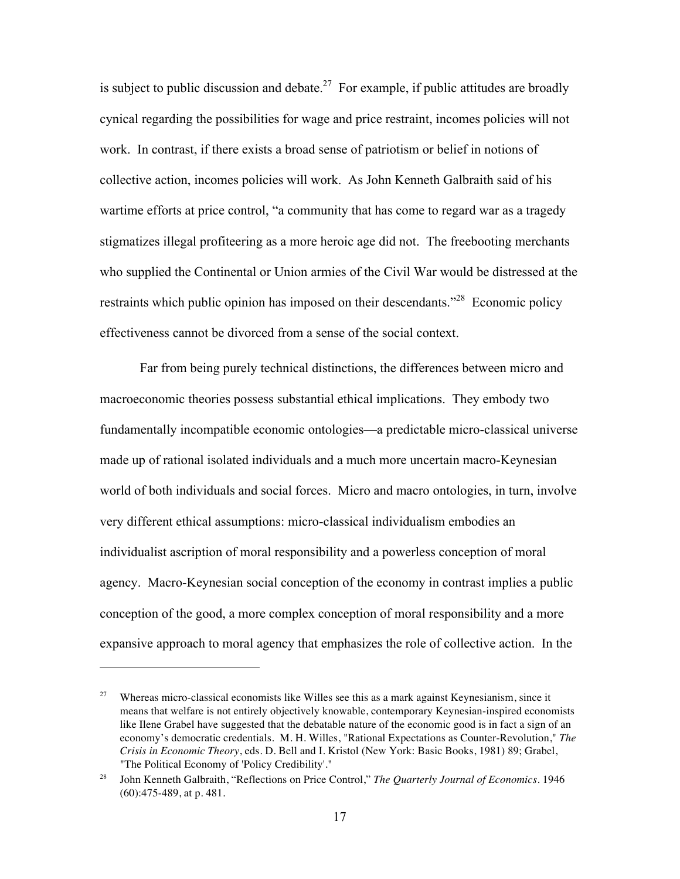is subject to public discussion and debate.<sup>27</sup> For example, if public attitudes are broadly cynical regarding the possibilities for wage and price restraint, incomes policies will not work. In contrast, if there exists a broad sense of patriotism or belief in notions of collective action, incomes policies will work. As John Kenneth Galbraith said of his wartime efforts at price control, "a community that has come to regard war as a tragedy stigmatizes illegal profiteering as a more heroic age did not. The freebooting merchants who supplied the Continental or Union armies of the Civil War would be distressed at the restraints which public opinion has imposed on their descendants."28 Economic policy effectiveness cannot be divorced from a sense of the social context.

Far from being purely technical distinctions, the differences between micro and macroeconomic theories possess substantial ethical implications. They embody two fundamentally incompatible economic ontologies—a predictable micro-classical universe made up of rational isolated individuals and a much more uncertain macro-Keynesian world of both individuals and social forces. Micro and macro ontologies, in turn, involve very different ethical assumptions: micro-classical individualism embodies an individualist ascription of moral responsibility and a powerless conception of moral agency. Macro-Keynesian social conception of the economy in contrast implies a public conception of the good, a more complex conception of moral responsibility and a more expansive approach to moral agency that emphasizes the role of collective action. In the

<sup>&</sup>lt;sup>27</sup> Whereas micro-classical economists like Willes see this as a mark against Keynesianism, since it means that welfare is not entirely objectively knowable, contemporary Keynesian-inspired economists like Ilene Grabel have suggested that the debatable nature of the economic good is in fact a sign of an economy's democratic credentials. M. H. Willes, "Rational Expectations as Counter-Revolution," *The Crisis in Economic Theory*, eds. D. Bell and I. Kristol (New York: Basic Books, 1981) 89; Grabel, "The Political Economy of 'Policy Credibility'."

<sup>28</sup> John Kenneth Galbraith, "Reflections on Price Control," *The Quarterly Journal of Economics.* 1946 (60):475-489, at p. 481.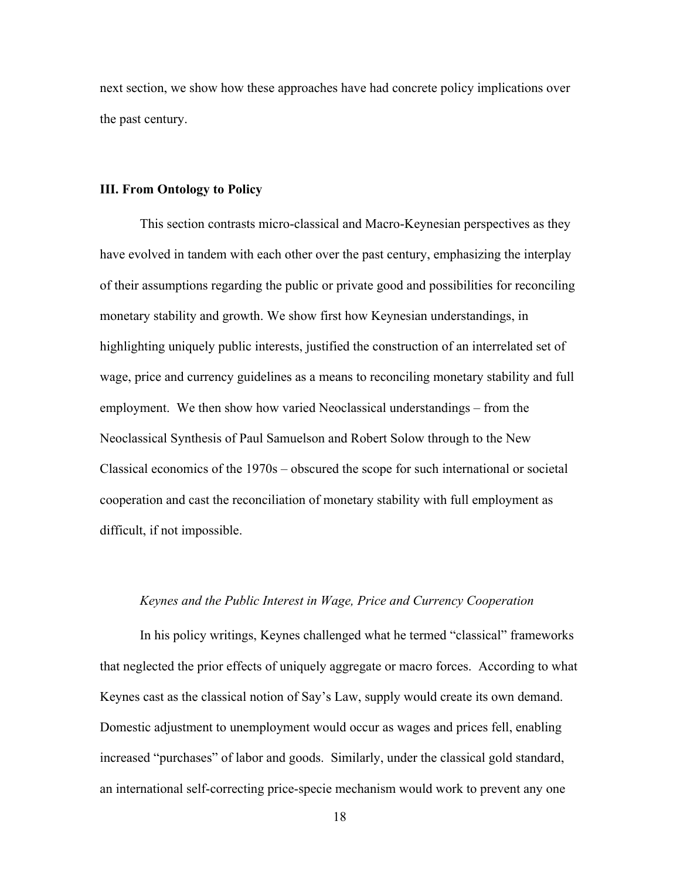next section, we show how these approaches have had concrete policy implications over the past century.

### **III. From Ontology to Policy**

This section contrasts micro-classical and Macro-Keynesian perspectives as they have evolved in tandem with each other over the past century, emphasizing the interplay of their assumptions regarding the public or private good and possibilities for reconciling monetary stability and growth. We show first how Keynesian understandings, in highlighting uniquely public interests, justified the construction of an interrelated set of wage, price and currency guidelines as a means to reconciling monetary stability and full employment. We then show how varied Neoclassical understandings – from the Neoclassical Synthesis of Paul Samuelson and Robert Solow through to the New Classical economics of the 1970s – obscured the scope for such international or societal cooperation and cast the reconciliation of monetary stability with full employment as difficult, if not impossible.

### *Keynes and the Public Interest in Wage, Price and Currency Cooperation*

In his policy writings, Keynes challenged what he termed "classical" frameworks that neglected the prior effects of uniquely aggregate or macro forces. According to what Keynes cast as the classical notion of Say's Law, supply would create its own demand. Domestic adjustment to unemployment would occur as wages and prices fell, enabling increased "purchases" of labor and goods. Similarly, under the classical gold standard, an international self-correcting price-specie mechanism would work to prevent any one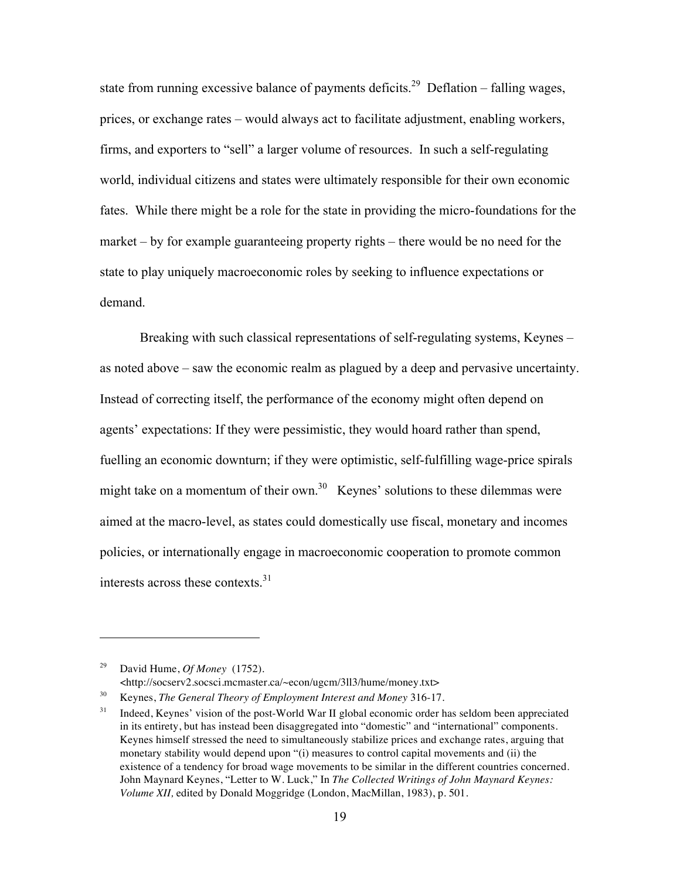state from running excessive balance of payments deficits.<sup>29</sup> Deflation – falling wages, prices, or exchange rates – would always act to facilitate adjustment, enabling workers, firms, and exporters to "sell" a larger volume of resources. In such a self-regulating world, individual citizens and states were ultimately responsible for their own economic fates. While there might be a role for the state in providing the micro-foundations for the market – by for example guaranteeing property rights – there would be no need for the state to play uniquely macroeconomic roles by seeking to influence expectations or demand.

Breaking with such classical representations of self-regulating systems, Keynes – as noted above – saw the economic realm as plagued by a deep and pervasive uncertainty. Instead of correcting itself, the performance of the economy might often depend on agents' expectations: If they were pessimistic, they would hoard rather than spend, fuelling an economic downturn; if they were optimistic, self-fulfilling wage-price spirals might take on a momentum of their own.<sup>30</sup> Keynes' solutions to these dilemmas were aimed at the macro-level, as states could domestically use fiscal, monetary and incomes policies, or internationally engage in macroeconomic cooperation to promote common interests across these contexts.<sup>31</sup>

<sup>29</sup> David Hume, *Of Money* (1752). <http://socserv2.socsci.mcmaster.ca/~econ/ugcm/3ll3/hume/money.txt>

<sup>30</sup> Keynes, *The General Theory of Employment Interest and Money* 316-17.

<sup>&</sup>lt;sup>31</sup> Indeed, Keynes' vision of the post-World War II global economic order has seldom been appreciated in its entirety, but has instead been disaggregated into "domestic" and "international" components. Keynes himself stressed the need to simultaneously stabilize prices and exchange rates, arguing that monetary stability would depend upon "(i) measures to control capital movements and (ii) the existence of a tendency for broad wage movements to be similar in the different countries concerned. John Maynard Keynes, "Letter to W. Luck," In *The Collected Writings of John Maynard Keynes: Volume XII,* edited by Donald Moggridge (London, MacMillan, 1983), p. 501.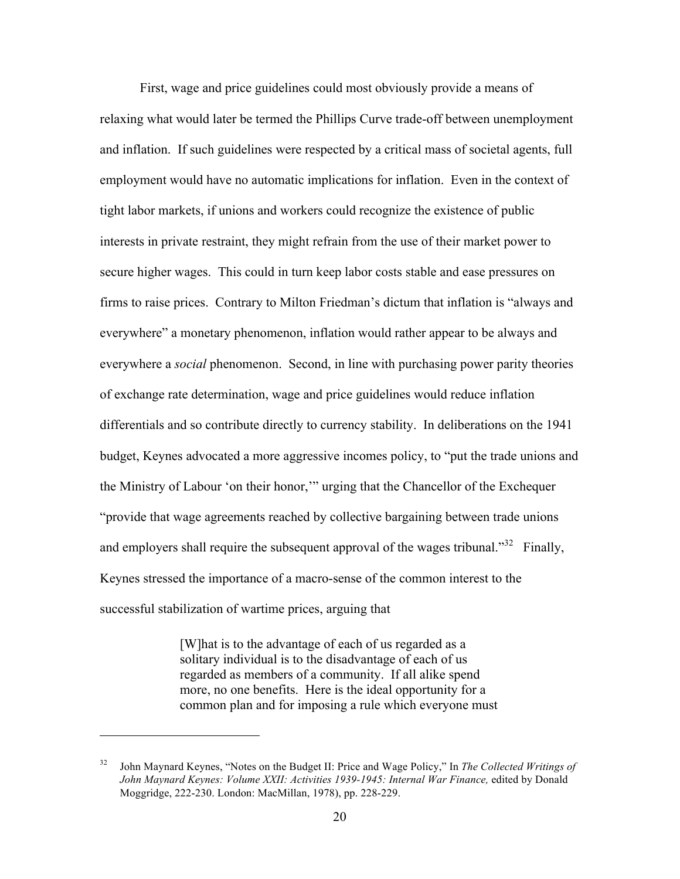First, wage and price guidelines could most obviously provide a means of relaxing what would later be termed the Phillips Curve trade-off between unemployment and inflation. If such guidelines were respected by a critical mass of societal agents, full employment would have no automatic implications for inflation. Even in the context of tight labor markets, if unions and workers could recognize the existence of public interests in private restraint, they might refrain from the use of their market power to secure higher wages. This could in turn keep labor costs stable and ease pressures on firms to raise prices. Contrary to Milton Friedman's dictum that inflation is "always and everywhere" a monetary phenomenon, inflation would rather appear to be always and everywhere a *social* phenomenon. Second, in line with purchasing power parity theories of exchange rate determination, wage and price guidelines would reduce inflation differentials and so contribute directly to currency stability. In deliberations on the 1941 budget, Keynes advocated a more aggressive incomes policy, to "put the trade unions and the Ministry of Labour 'on their honor,'" urging that the Chancellor of the Exchequer "provide that wage agreements reached by collective bargaining between trade unions and employers shall require the subsequent approval of the wages tribunal. $1^{32}$  Finally, Keynes stressed the importance of a macro-sense of the common interest to the successful stabilization of wartime prices, arguing that

> [W]hat is to the advantage of each of us regarded as a solitary individual is to the disadvantage of each of us regarded as members of a community. If all alike spend more, no one benefits. Here is the ideal opportunity for a common plan and for imposing a rule which everyone must

<sup>32</sup> John Maynard Keynes, "Notes on the Budget II: Price and Wage Policy," In *The Collected Writings of*  John Maynard Keynes: Volume XXII: Activities 1939-1945: Internal War Finance, edited by Donald Moggridge, 222-230. London: MacMillan, 1978), pp. 228-229.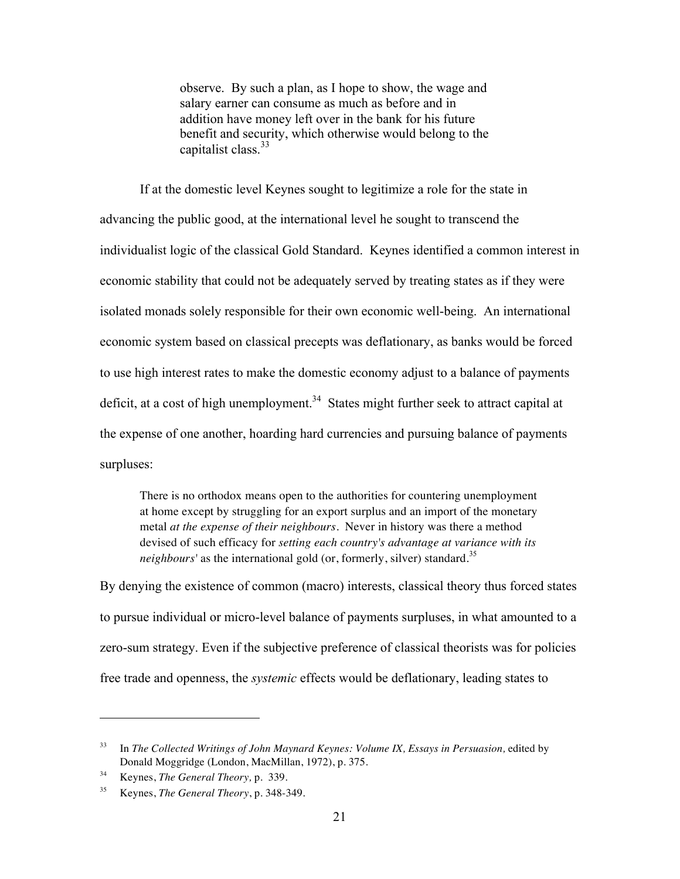observe. By such a plan, as I hope to show, the wage and salary earner can consume as much as before and in addition have money left over in the bank for his future benefit and security, which otherwise would belong to the capitalist class.<sup>33</sup>

If at the domestic level Keynes sought to legitimize a role for the state in advancing the public good, at the international level he sought to transcend the individualist logic of the classical Gold Standard. Keynes identified a common interest in economic stability that could not be adequately served by treating states as if they were isolated monads solely responsible for their own economic well-being. An international economic system based on classical precepts was deflationary, as banks would be forced to use high interest rates to make the domestic economy adjust to a balance of payments deficit, at a cost of high unemployment.<sup>34</sup> States might further seek to attract capital at the expense of one another, hoarding hard currencies and pursuing balance of payments surpluses:

There is no orthodox means open to the authorities for countering unemployment at home except by struggling for an export surplus and an import of the monetary metal *at the expense of their neighbours.* Never in history was there a method devised of such efficacy for *setting each country's advantage at variance with its neighbours'* as the international gold (or, formerly, silver) standard.<sup>35</sup>

By denying the existence of common (macro) interests, classical theory thus forced states to pursue individual or micro-level balance of payments surpluses, in what amounted to a zero-sum strategy. Even if the subjective preference of classical theorists was for policies free trade and openness, the *systemic* effects would be deflationary, leading states to

<sup>33</sup> In *The Collected Writings of John Maynard Keynes: Volume IX, Essays in Persuasion,* edited by Donald Moggridge (London, MacMillan, 1972), p. 375.

<sup>34</sup> Keynes, *The General Theory,* p. 339.

<sup>35</sup> Keynes, *The General Theory*, p. 348-349.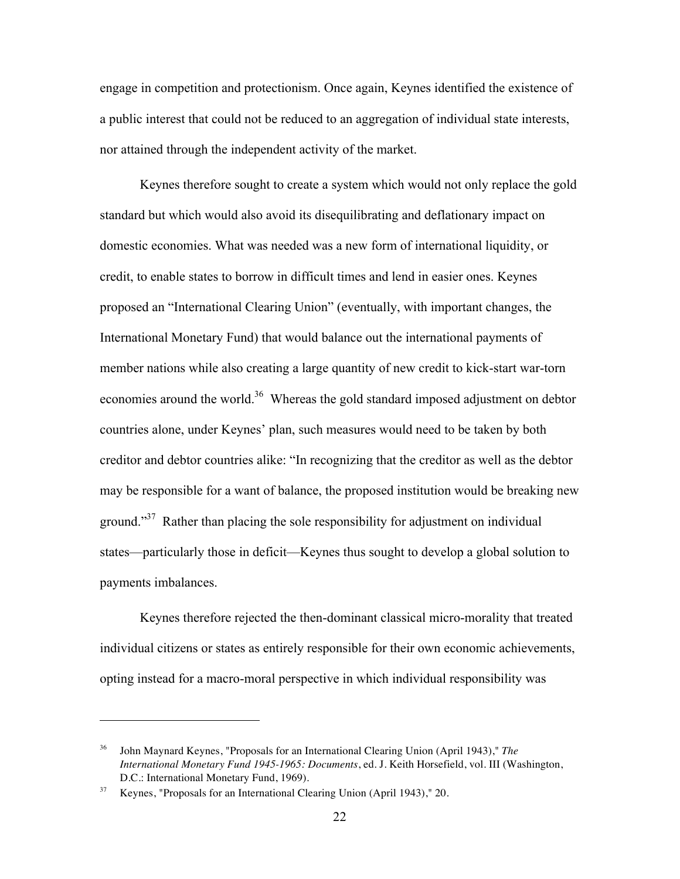engage in competition and protectionism. Once again, Keynes identified the existence of a public interest that could not be reduced to an aggregation of individual state interests, nor attained through the independent activity of the market.

Keynes therefore sought to create a system which would not only replace the gold standard but which would also avoid its disequilibrating and deflationary impact on domestic economies. What was needed was a new form of international liquidity, or credit, to enable states to borrow in difficult times and lend in easier ones. Keynes proposed an "International Clearing Union" (eventually, with important changes, the International Monetary Fund) that would balance out the international payments of member nations while also creating a large quantity of new credit to kick-start war-torn economies around the world.<sup>36</sup> Whereas the gold standard imposed adjustment on debtor countries alone, under Keynes' plan, such measures would need to be taken by both creditor and debtor countries alike: "In recognizing that the creditor as well as the debtor may be responsible for a want of balance, the proposed institution would be breaking new ground." $37$  Rather than placing the sole responsibility for adjustment on individual states—particularly those in deficit—Keynes thus sought to develop a global solution to payments imbalances.

Keynes therefore rejected the then-dominant classical micro-morality that treated individual citizens or states as entirely responsible for their own economic achievements, opting instead for a macro-moral perspective in which individual responsibility was

<sup>36</sup> John Maynard Keynes, "Proposals for an International Clearing Union (April 1943)," *The International Monetary Fund 1945-1965: Documents*, ed. J. Keith Horsefield, vol. III (Washington, D.C.: International Monetary Fund, 1969).

<sup>37</sup> Keynes, "Proposals for an International Clearing Union (April 1943)," 20.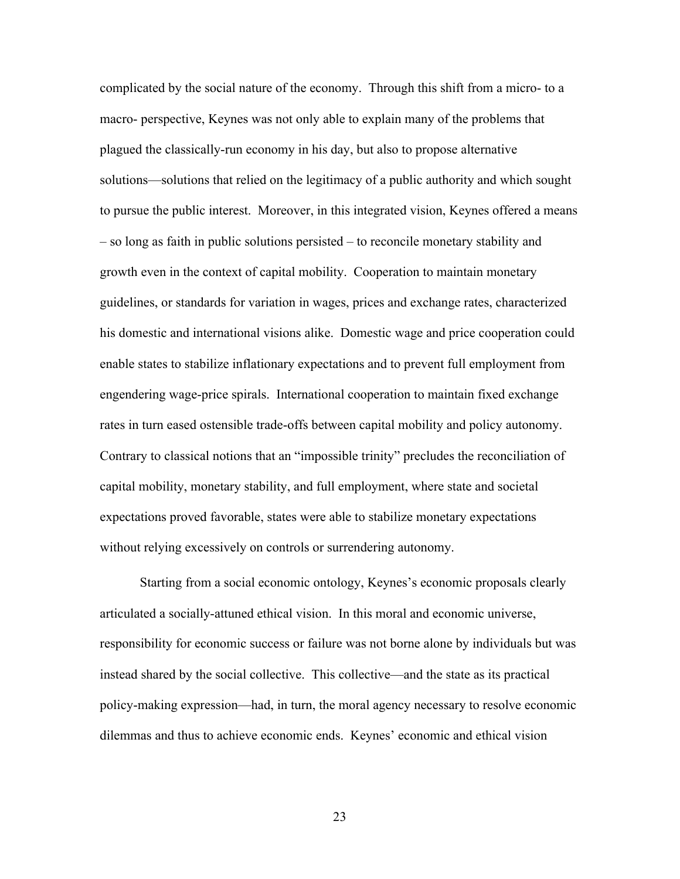complicated by the social nature of the economy. Through this shift from a micro- to a macro- perspective, Keynes was not only able to explain many of the problems that plagued the classically-run economy in his day, but also to propose alternative solutions—solutions that relied on the legitimacy of a public authority and which sought to pursue the public interest. Moreover, in this integrated vision, Keynes offered a means – so long as faith in public solutions persisted – to reconcile monetary stability and growth even in the context of capital mobility. Cooperation to maintain monetary guidelines, or standards for variation in wages, prices and exchange rates, characterized his domestic and international visions alike. Domestic wage and price cooperation could enable states to stabilize inflationary expectations and to prevent full employment from engendering wage-price spirals. International cooperation to maintain fixed exchange rates in turn eased ostensible trade-offs between capital mobility and policy autonomy. Contrary to classical notions that an "impossible trinity" precludes the reconciliation of capital mobility, monetary stability, and full employment, where state and societal expectations proved favorable, states were able to stabilize monetary expectations without relying excessively on controls or surrendering autonomy.

Starting from a social economic ontology, Keynes's economic proposals clearly articulated a socially-attuned ethical vision. In this moral and economic universe, responsibility for economic success or failure was not borne alone by individuals but was instead shared by the social collective. This collective—and the state as its practical policy-making expression—had, in turn, the moral agency necessary to resolve economic dilemmas and thus to achieve economic ends. Keynes' economic and ethical vision

23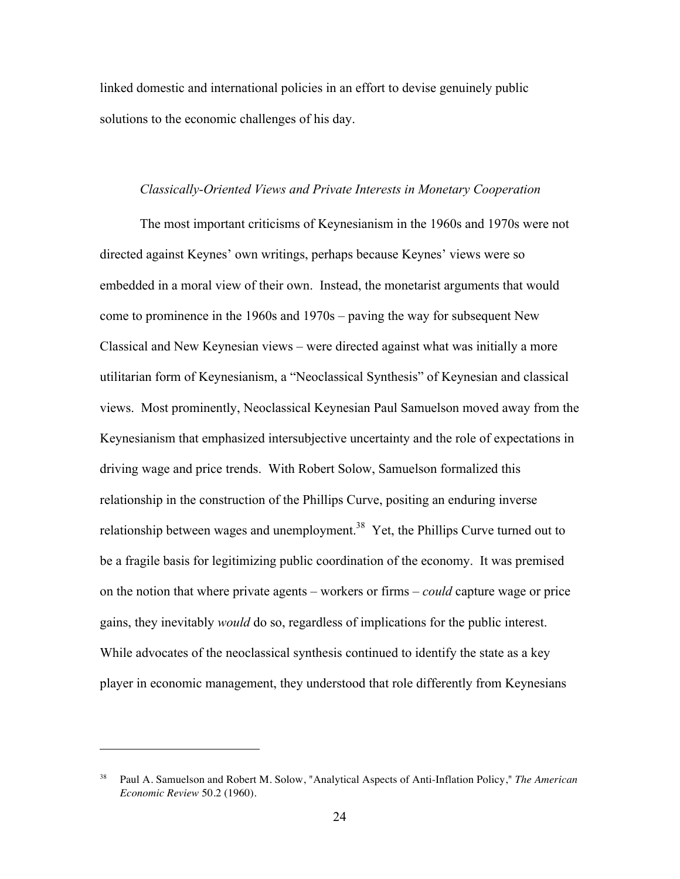linked domestic and international policies in an effort to devise genuinely public solutions to the economic challenges of his day.

#### *Classically-Oriented Views and Private Interests in Monetary Cooperation*

The most important criticisms of Keynesianism in the 1960s and 1970s were not directed against Keynes' own writings, perhaps because Keynes' views were so embedded in a moral view of their own. Instead, the monetarist arguments that would come to prominence in the 1960s and 1970s – paving the way for subsequent New Classical and New Keynesian views – were directed against what was initially a more utilitarian form of Keynesianism, a "Neoclassical Synthesis" of Keynesian and classical views. Most prominently, Neoclassical Keynesian Paul Samuelson moved away from the Keynesianism that emphasized intersubjective uncertainty and the role of expectations in driving wage and price trends. With Robert Solow, Samuelson formalized this relationship in the construction of the Phillips Curve, positing an enduring inverse relationship between wages and unemployment.<sup>38</sup> Yet, the Phillips Curve turned out to be a fragile basis for legitimizing public coordination of the economy. It was premised on the notion that where private agents – workers or firms – *could* capture wage or price gains, they inevitably *would* do so, regardless of implications for the public interest. While advocates of the neoclassical synthesis continued to identify the state as a key player in economic management, they understood that role differently from Keynesians

<sup>38</sup> Paul A. Samuelson and Robert M. Solow, "Analytical Aspects of Anti-Inflation Policy," *The American Economic Review* 50.2 (1960).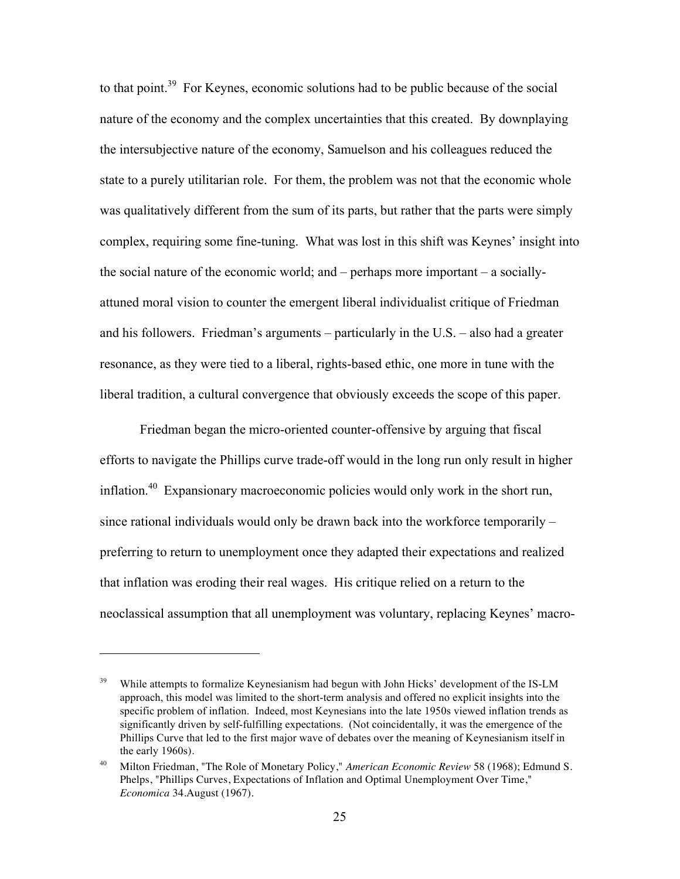to that point.<sup>39</sup> For Keynes, economic solutions had to be public because of the social nature of the economy and the complex uncertainties that this created. By downplaying the intersubjective nature of the economy, Samuelson and his colleagues reduced the state to a purely utilitarian role. For them, the problem was not that the economic whole was qualitatively different from the sum of its parts, but rather that the parts were simply complex, requiring some fine-tuning. What was lost in this shift was Keynes' insight into the social nature of the economic world; and – perhaps more important – a sociallyattuned moral vision to counter the emergent liberal individualist critique of Friedman and his followers. Friedman's arguments – particularly in the U.S. – also had a greater resonance, as they were tied to a liberal, rights-based ethic, one more in tune with the liberal tradition, a cultural convergence that obviously exceeds the scope of this paper.

Friedman began the micro-oriented counter-offensive by arguing that fiscal efforts to navigate the Phillips curve trade-off would in the long run only result in higher inflation.<sup>40</sup> Expansionary macroeconomic policies would only work in the short run, since rational individuals would only be drawn back into the workforce temporarily – preferring to return to unemployment once they adapted their expectations and realized that inflation was eroding their real wages. His critique relied on a return to the neoclassical assumption that all unemployment was voluntary, replacing Keynes' macro-

<sup>&</sup>lt;sup>39</sup> While attempts to formalize Keynesianism had begun with John Hicks' development of the IS-LM approach, this model was limited to the short-term analysis and offered no explicit insights into the specific problem of inflation. Indeed, most Keynesians into the late 1950s viewed inflation trends as significantly driven by self-fulfilling expectations. (Not coincidentally, it was the emergence of the Phillips Curve that led to the first major wave of debates over the meaning of Keynesianism itself in the early 1960s).

<sup>40</sup> Milton Friedman, "The Role of Monetary Policy," *American Economic Review* 58 (1968); Edmund S. Phelps, "Phillips Curves, Expectations of Inflation and Optimal Unemployment Over Time," *Economica* 34.August (1967).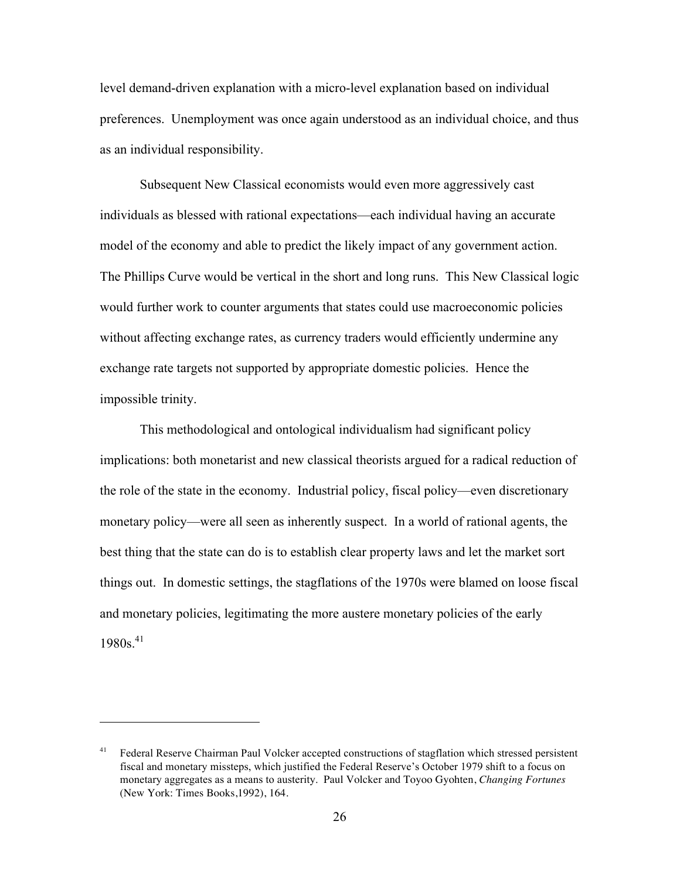level demand-driven explanation with a micro-level explanation based on individual preferences. Unemployment was once again understood as an individual choice, and thus as an individual responsibility.

Subsequent New Classical economists would even more aggressively cast individuals as blessed with rational expectations—each individual having an accurate model of the economy and able to predict the likely impact of any government action. The Phillips Curve would be vertical in the short and long runs. This New Classical logic would further work to counter arguments that states could use macroeconomic policies without affecting exchange rates, as currency traders would efficiently undermine any exchange rate targets not supported by appropriate domestic policies. Hence the impossible trinity.

This methodological and ontological individualism had significant policy implications: both monetarist and new classical theorists argued for a radical reduction of the role of the state in the economy. Industrial policy, fiscal policy—even discretionary monetary policy—were all seen as inherently suspect. In a world of rational agents, the best thing that the state can do is to establish clear property laws and let the market sort things out. In domestic settings, the stagflations of the 1970s were blamed on loose fiscal and monetary policies, legitimating the more austere monetary policies of the early  $1980s^{41}$ 

<sup>&</sup>lt;sup>41</sup> Federal Reserve Chairman Paul Volcker accepted constructions of stagflation which stressed persistent fiscal and monetary missteps, which justified the Federal Reserve's October 1979 shift to a focus on monetary aggregates as a means to austerity. Paul Volcker and Toyoo Gyohten, *Changing Fortunes*  (New York: Times Books,1992), 164.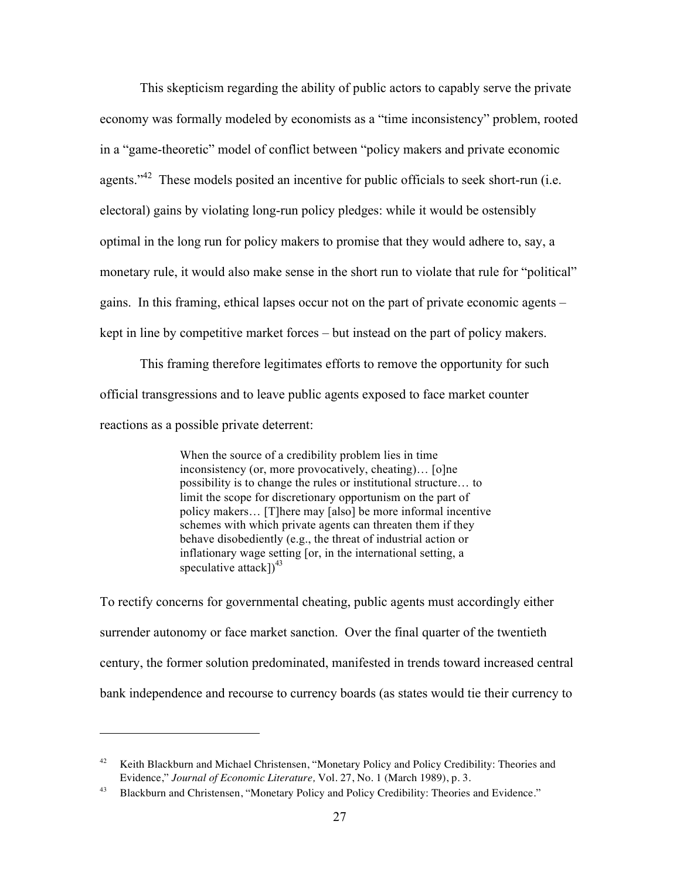This skepticism regarding the ability of public actors to capably serve the private economy was formally modeled by economists as a "time inconsistency" problem, rooted in a "game-theoretic" model of conflict between "policy makers and private economic agents. $1^{3/2}$  These models posited an incentive for public officials to seek short-run (i.e. electoral) gains by violating long-run policy pledges: while it would be ostensibly optimal in the long run for policy makers to promise that they would adhere to, say, a monetary rule, it would also make sense in the short run to violate that rule for "political" gains. In this framing, ethical lapses occur not on the part of private economic agents – kept in line by competitive market forces – but instead on the part of policy makers.

This framing therefore legitimates efforts to remove the opportunity for such official transgressions and to leave public agents exposed to face market counter reactions as a possible private deterrent:

> When the source of a credibility problem lies in time inconsistency (or, more provocatively, cheating)… [o]ne possibility is to change the rules or institutional structure… to limit the scope for discretionary opportunism on the part of policy makers… [T]here may [also] be more informal incentive schemes with which private agents can threaten them if they behave disobediently (e.g., the threat of industrial action or inflationary wage setting [or, in the international setting, a speculative attack $1)^{43}$

To rectify concerns for governmental cheating, public agents must accordingly either surrender autonomy or face market sanction. Over the final quarter of the twentieth century, the former solution predominated, manifested in trends toward increased central bank independence and recourse to currency boards (as states would tie their currency to

<sup>42</sup> Keith Blackburn and Michael Christensen, "Monetary Policy and Policy Credibility: Theories and Evidence," *Journal of Economic Literature,* Vol. 27, No. 1 (March 1989), p. 3.

<sup>&</sup>lt;sup>43</sup> Blackburn and Christensen, "Monetary Policy and Policy Credibility: Theories and Evidence."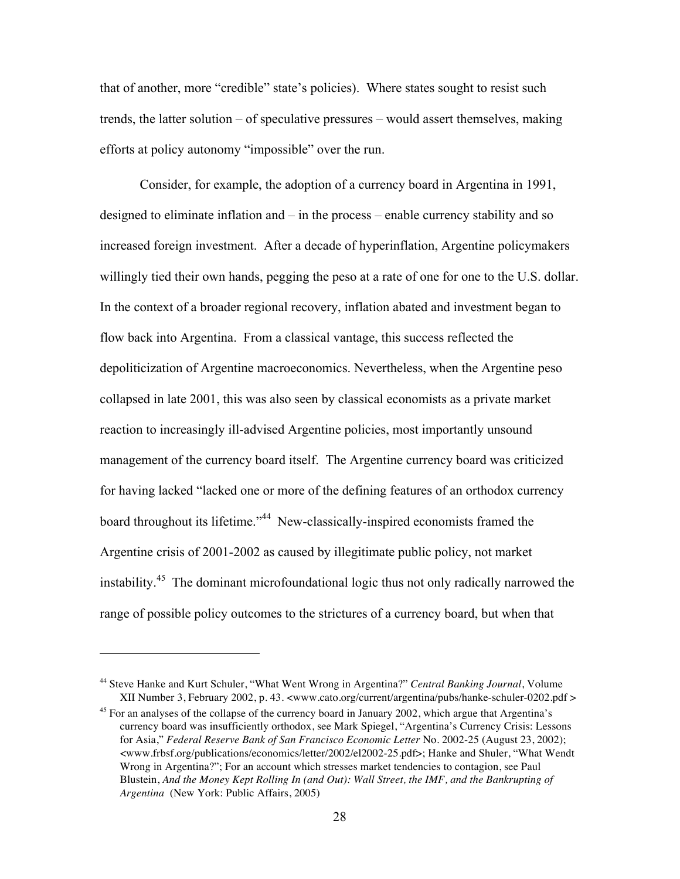that of another, more "credible" state's policies). Where states sought to resist such trends, the latter solution – of speculative pressures – would assert themselves, making efforts at policy autonomy "impossible" over the run.

Consider, for example, the adoption of a currency board in Argentina in 1991, designed to eliminate inflation and – in the process – enable currency stability and so increased foreign investment. After a decade of hyperinflation, Argentine policymakers willingly tied their own hands, pegging the peso at a rate of one for one to the U.S. dollar. In the context of a broader regional recovery, inflation abated and investment began to flow back into Argentina. From a classical vantage, this success reflected the depoliticization of Argentine macroeconomics. Nevertheless, when the Argentine peso collapsed in late 2001, this was also seen by classical economists as a private market reaction to increasingly ill-advised Argentine policies, most importantly unsound management of the currency board itself. The Argentine currency board was criticized for having lacked "lacked one or more of the defining features of an orthodox currency board throughout its lifetime."44 New-classically-inspired economists framed the Argentine crisis of 2001-2002 as caused by illegitimate public policy, not market instability.<sup>45</sup> The dominant microfoundational logic thus not only radically narrowed the range of possible policy outcomes to the strictures of a currency board, but when that

<sup>44</sup> Steve Hanke and Kurt Schuler, "What Went Wrong in Argentina?" *Central Banking Journal*, Volume XII Number 3, February 2002, p. 43. <www.cato.org/current/argentina/pubs/hanke-schuler-0202.pdf >

 $45$  For an analyses of the collapse of the currency board in January 2002, which argue that Argentina's currency board was insufficiently orthodox, see Mark Spiegel, "Argentina's Currency Crisis: Lessons for Asia," *Federal Reserve Bank of San Francisco Economic Letter* No. 2002-25 (August 23, 2002); <www.frbsf.org/publications/economics/letter/2002/el2002-25.pdf>; Hanke and Shuler, "What Wendt Wrong in Argentina?"; For an account which stresses market tendencies to contagion, see Paul Blustein, *And the Money Kept Rolling In (and Out): Wall Street, the IMF, and the Bankrupting of Argentina* (New York: Public Affairs, 2005)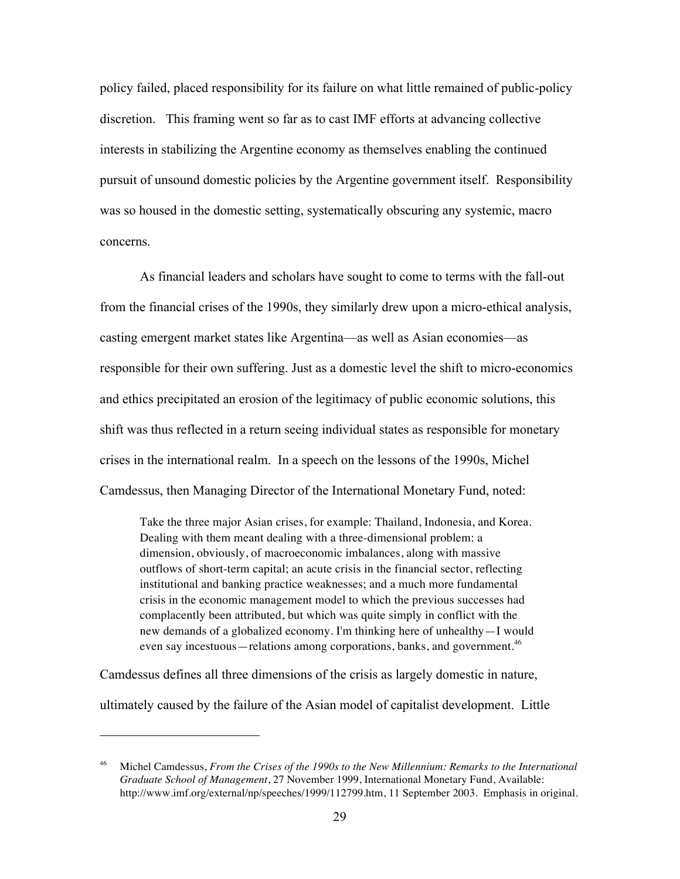policy failed, placed responsibility for its failure on what little remained of public-policy discretion. This framing went so far as to cast IMF efforts at advancing collective interests in stabilizing the Argentine economy as themselves enabling the continued pursuit of unsound domestic policies by the Argentine government itself. Responsibility was so housed in the domestic setting, systematically obscuring any systemic, macro concerns.

As financial leaders and scholars have sought to come to terms with the fall-out from the financial crises of the 1990s, they similarly drew upon a micro-ethical analysis, casting emergent market states like Argentina—as well as Asian economies—as responsible for their own suffering. Just as a domestic level the shift to micro-economics and ethics precipitated an erosion of the legitimacy of public economic solutions, this shift was thus reflected in a return seeing individual states as responsible for monetary crises in the international realm. In a speech on the lessons of the 1990s, Michel Camdessus, then Managing Director of the International Monetary Fund, noted:

Take the three major Asian crises, for example: Thailand, Indonesia, and Korea. Dealing with them meant dealing with a three-dimensional problem: a dimension, obviously, of macroeconomic imbalances, along with massive outflows of short-term capital; an acute crisis in the financial sector, reflecting institutional and banking practice weaknesses; and a much more fundamental crisis in the economic management model to which the previous successes had complacently been attributed, but which was quite simply in conflict with the new demands of a globalized economy. I'm thinking here of unhealthy—I would even say incestuous—relations among corporations, banks, and government.<sup>46</sup>

Camdessus defines all three dimensions of the crisis as largely domestic in nature, ultimately caused by the failure of the Asian model of capitalist development. Little

<sup>46</sup> Michel Camdessus, *From the Crises of the 1990s to the New Millennium: Remarks to the International Graduate School of Management*, 27 November 1999, International Monetary Fund, Available: http://www.imf.org/external/np/speeches/1999/112799.htm, 11 September 2003. Emphasis in original.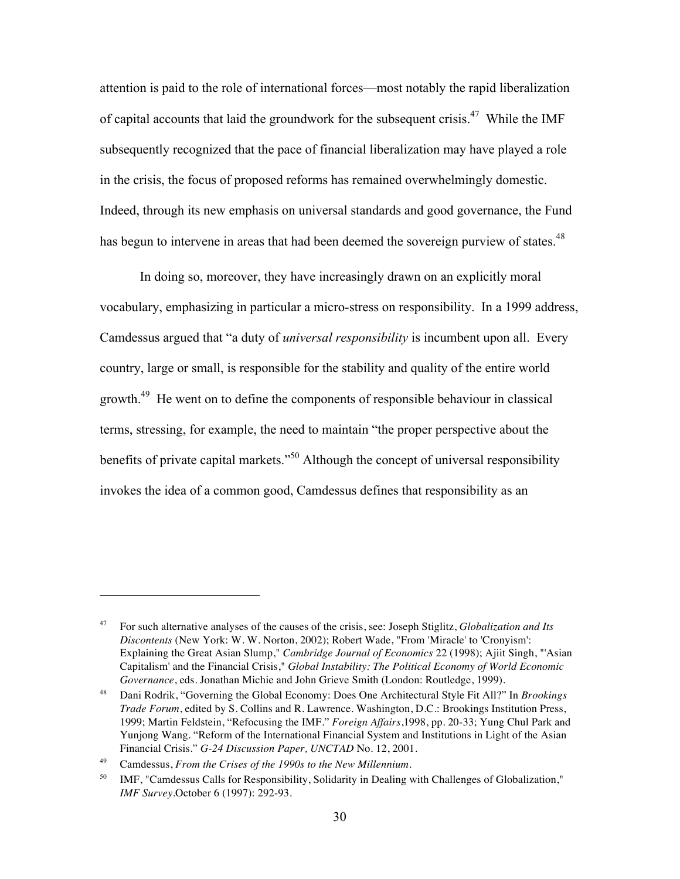attention is paid to the role of international forces—most notably the rapid liberalization of capital accounts that laid the groundwork for the subsequent crisis.<sup>47</sup> While the IMF subsequently recognized that the pace of financial liberalization may have played a role in the crisis, the focus of proposed reforms has remained overwhelmingly domestic. Indeed, through its new emphasis on universal standards and good governance, the Fund has begun to intervene in areas that had been deemed the sovereign purview of states.<sup>48</sup>

In doing so, moreover, they have increasingly drawn on an explicitly moral vocabulary, emphasizing in particular a micro-stress on responsibility. In a 1999 address, Camdessus argued that "a duty of *universal responsibility* is incumbent upon all. Every country, large or small, is responsible for the stability and quality of the entire world growth.<sup>49</sup> He went on to define the components of responsible behaviour in classical terms, stressing, for example, the need to maintain "the proper perspective about the benefits of private capital markets."<sup>50</sup> Although the concept of universal responsibility invokes the idea of a common good, Camdessus defines that responsibility as an

<sup>47</sup> For such alternative analyses of the causes of the crisis, see: Joseph Stiglitz, *Globalization and Its Discontents* (New York: W. W. Norton, 2002); Robert Wade, "From 'Miracle' to 'Cronyism': Explaining the Great Asian Slump," *Cambridge Journal of Economics* 22 (1998); Ajiit Singh, "'Asian Capitalism' and the Financial Crisis," *Global Instability: The Political Economy of World Economic Governance*, eds. Jonathan Michie and John Grieve Smith (London: Routledge, 1999).

<sup>48</sup> Dani Rodrik, "Governing the Global Economy: Does One Architectural Style Fit All?" In *Brookings Trade Forum*, edited by S. Collins and R. Lawrence. Washington, D.C.: Brookings Institution Press, 1999; Martin Feldstein, "Refocusing the IMF." *Foreign Affairs*,1998, pp. 20-33; Yung Chul Park and Yunjong Wang. "Reform of the International Financial System and Institutions in Light of the Asian Financial Crisis." *G-24 Discussion Paper, UNCTAD* No. 12, 2001.

<sup>49</sup> Camdessus, *From the Crises of the 1990s to the New Millennium*.

<sup>&</sup>lt;sup>50</sup> IMF, "Camdessus Calls for Responsibility, Solidarity in Dealing with Challenges of Globalization," *IMF Survey*.October 6 (1997): 292-93.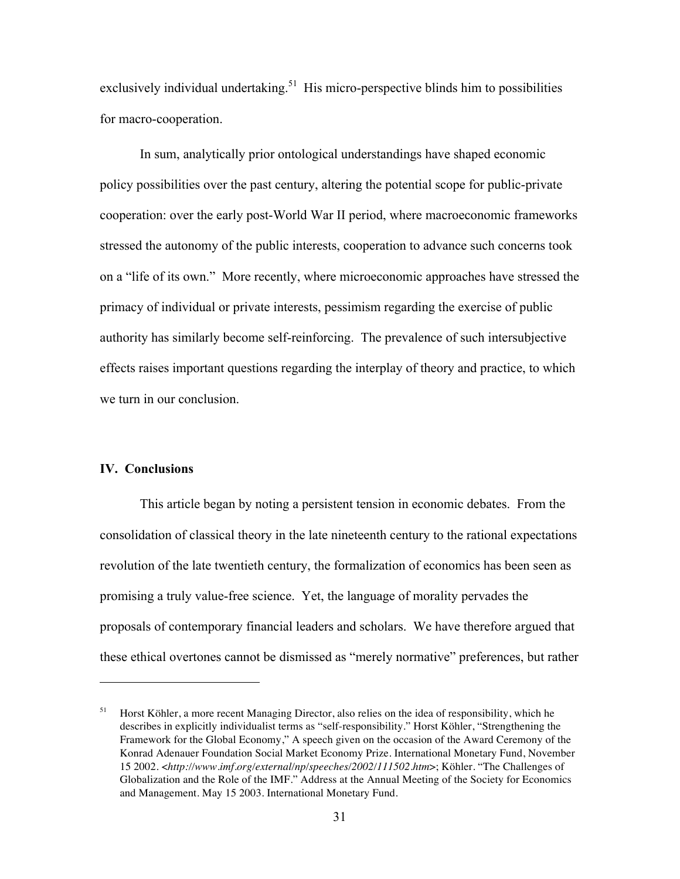exclusively individual undertaking.<sup>51</sup> His micro-perspective blinds him to possibilities for macro-cooperation.

In sum, analytically prior ontological understandings have shaped economic policy possibilities over the past century, altering the potential scope for public-private cooperation: over the early post-World War II period, where macroeconomic frameworks stressed the autonomy of the public interests, cooperation to advance such concerns took on a "life of its own." More recently, where microeconomic approaches have stressed the primacy of individual or private interests, pessimism regarding the exercise of public authority has similarly become self-reinforcing. The prevalence of such intersubjective effects raises important questions regarding the interplay of theory and practice, to which we turn in our conclusion.

#### **IV. Conclusions**

 $\overline{a}$ 

This article began by noting a persistent tension in economic debates. From the consolidation of classical theory in the late nineteenth century to the rational expectations revolution of the late twentieth century, the formalization of economics has been seen as promising a truly value-free science. Yet, the language of morality pervades the proposals of contemporary financial leaders and scholars. We have therefore argued that these ethical overtones cannot be dismissed as "merely normative" preferences, but rather

<sup>&</sup>lt;sup>51</sup> Horst Köhler, a more recent Managing Director, also relies on the idea of responsibility, which he describes in explicitly individualist terms as "self-responsibility." Horst Köhler, "Strengthening the Framework for the Global Economy," A speech given on the occasion of the Award Ceremony of the Konrad Adenauer Foundation Social Market Economy Prize. International Monetary Fund, November 15 2002. <*http://www.imf.org/external/np/speeches/2002/111502.htm*>; Köhler. "The Challenges of Globalization and the Role of the IMF." Address at the Annual Meeting of the Society for Economics and Management. May 15 2003. International Monetary Fund.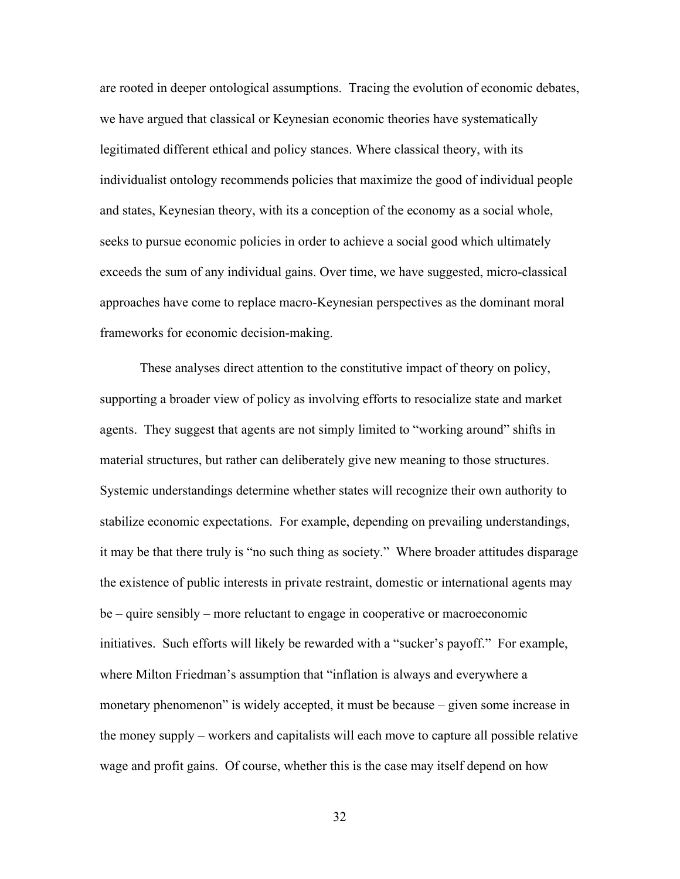are rooted in deeper ontological assumptions. Tracing the evolution of economic debates, we have argued that classical or Keynesian economic theories have systematically legitimated different ethical and policy stances. Where classical theory, with its individualist ontology recommends policies that maximize the good of individual people and states, Keynesian theory, with its a conception of the economy as a social whole, seeks to pursue economic policies in order to achieve a social good which ultimately exceeds the sum of any individual gains. Over time, we have suggested, micro-classical approaches have come to replace macro-Keynesian perspectives as the dominant moral frameworks for economic decision-making.

These analyses direct attention to the constitutive impact of theory on policy, supporting a broader view of policy as involving efforts to resocialize state and market agents. They suggest that agents are not simply limited to "working around" shifts in material structures, but rather can deliberately give new meaning to those structures. Systemic understandings determine whether states will recognize their own authority to stabilize economic expectations. For example, depending on prevailing understandings, it may be that there truly is "no such thing as society." Where broader attitudes disparage the existence of public interests in private restraint, domestic or international agents may be – quire sensibly – more reluctant to engage in cooperative or macroeconomic initiatives. Such efforts will likely be rewarded with a "sucker's payoff." For example, where Milton Friedman's assumption that "inflation is always and everywhere a monetary phenomenon" is widely accepted, it must be because – given some increase in the money supply – workers and capitalists will each move to capture all possible relative wage and profit gains. Of course, whether this is the case may itself depend on how

32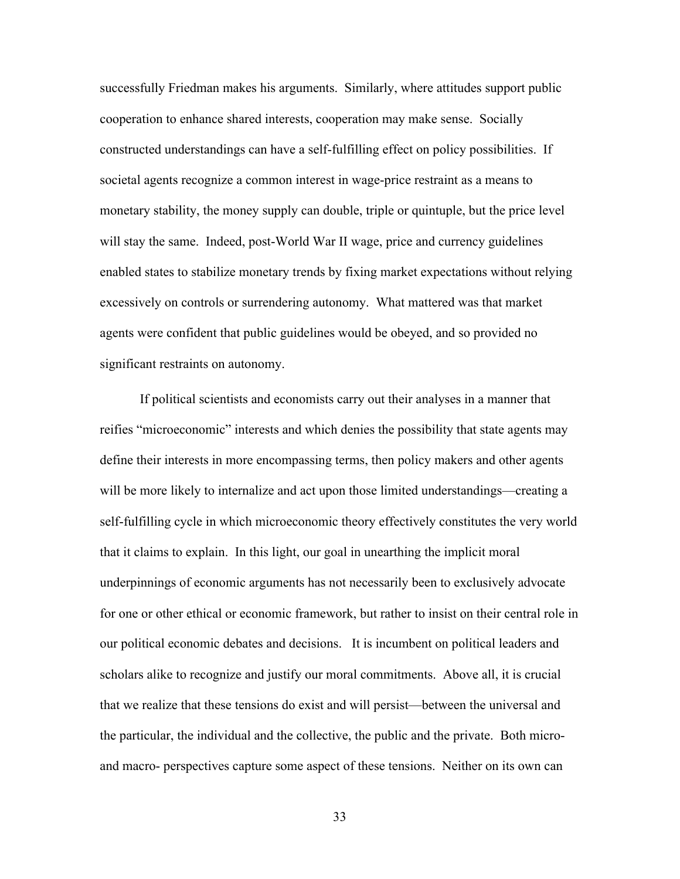successfully Friedman makes his arguments. Similarly, where attitudes support public cooperation to enhance shared interests, cooperation may make sense. Socially constructed understandings can have a self-fulfilling effect on policy possibilities. If societal agents recognize a common interest in wage-price restraint as a means to monetary stability, the money supply can double, triple or quintuple, but the price level will stay the same. Indeed, post-World War II wage, price and currency guidelines enabled states to stabilize monetary trends by fixing market expectations without relying excessively on controls or surrendering autonomy. What mattered was that market agents were confident that public guidelines would be obeyed, and so provided no significant restraints on autonomy.

If political scientists and economists carry out their analyses in a manner that reifies "microeconomic" interests and which denies the possibility that state agents may define their interests in more encompassing terms, then policy makers and other agents will be more likely to internalize and act upon those limited understandings—creating a self-fulfilling cycle in which microeconomic theory effectively constitutes the very world that it claims to explain. In this light, our goal in unearthing the implicit moral underpinnings of economic arguments has not necessarily been to exclusively advocate for one or other ethical or economic framework, but rather to insist on their central role in our political economic debates and decisions. It is incumbent on political leaders and scholars alike to recognize and justify our moral commitments. Above all, it is crucial that we realize that these tensions do exist and will persist—between the universal and the particular, the individual and the collective, the public and the private. Both microand macro- perspectives capture some aspect of these tensions. Neither on its own can

33